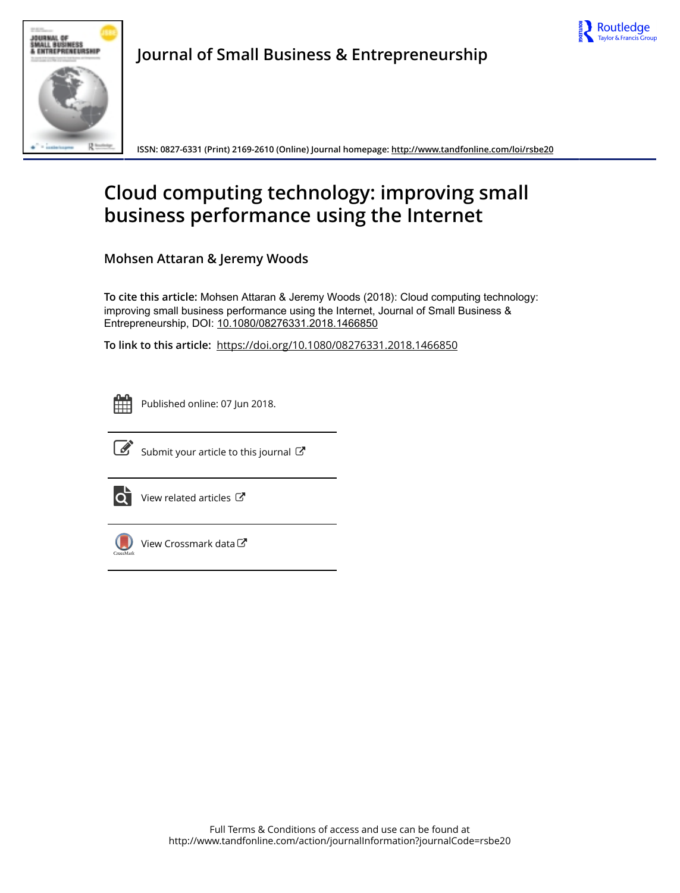



**Journal of Small Business & Entrepreneurship**

**ISSN: 0827-6331 (Print) 2169-2610 (Online) Journal homepage:<http://www.tandfonline.com/loi/rsbe20>**

# **Cloud computing technology: improving small business performance using the Internet**

**Mohsen Attaran & Jeremy Woods**

**To cite this article:** Mohsen Attaran & Jeremy Woods (2018): Cloud computing technology: improving small business performance using the Internet, Journal of Small Business & Entrepreneurship, DOI: [10.1080/08276331.2018.1466850](http://www.tandfonline.com/action/showCitFormats?doi=10.1080/08276331.2018.1466850)

**To link to this article:** <https://doi.org/10.1080/08276331.2018.1466850>

Published online: 07 Jun 2018.



 $\overrightarrow{S}$  [Submit your article to this journal](http://www.tandfonline.com/action/authorSubmission?journalCode=rsbe20&show=instructions)  $\overrightarrow{S}$ 



 $\overrightarrow{Q}$  [View related articles](http://www.tandfonline.com/doi/mlt/10.1080/08276331.2018.1466850)  $\overrightarrow{C}$ 



[View Crossmark data](http://crossmark.crossref.org/dialog/?doi=10.1080/08276331.2018.1466850&domain=pdf&date_stamp=2018-06-07) $\mathbb{C}$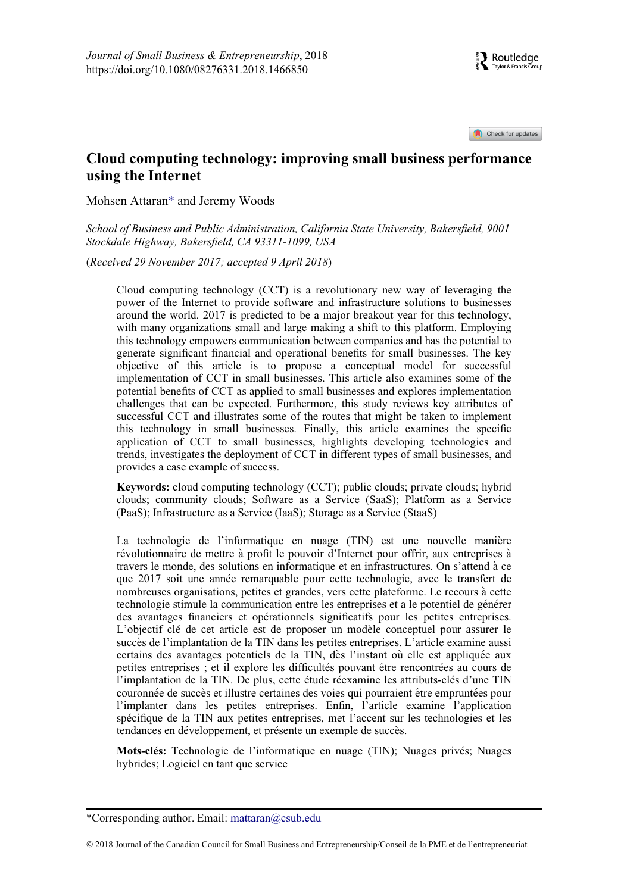

Check for updates

# Cloud computing technology: improving small business performance using the Internet

Mohsen Attara[n\\*](#page-1-0) and Jeremy Woods

School of Business and Public Administration, California State University, Bakersfield, 9001 Stockdale Highway, Bakersfield, CA 93311-1099, USA

(Received 29 November 2017; accepted 9 April 2018)

Cloud computing technology (CCT) is a revolutionary new way of leveraging the power of the Internet to provide software and infrastructure solutions to businesses around the world. 2017 is predicted to be a major breakout year for this technology, with many organizations small and large making a shift to this platform. Employing this technology empowers communication between companies and has the potential to generate significant financial and operational benefits for small businesses. The key objective of this article is to propose a conceptual model for successful implementation of CCT in small businesses. This article also examines some of the potential benefits of CCT as applied to small businesses and explores implementation challenges that can be expected. Furthermore, this study reviews key attributes of successful CCT and illustrates some of the routes that might be taken to implement this technology in small businesses. Finally, this article examines the specific application of CCT to small businesses, highlights developing technologies and trends, investigates the deployment of CCT in different types of small businesses, and provides a case example of success.

Keywords: cloud computing technology (CCT); public clouds; private clouds; hybrid clouds; community clouds; Software as a Service (SaaS); Platform as a Service (PaaS); Infrastructure as a Service (IaaS); Storage as a Service (StaaS)

La technologie de l'informatique en nuage (TIN) est une nouvelle maniere révolutionnaire de mettre à profit le pouvoir d'Internet pour offrir, aux entreprises à travers le monde, des solutions en informatique et en infrastructures. On s'attend a ce que 2017 soit une annee remarquable pour cette technologie, avec le transfert de nombreuses organisations, petites et grandes, vers cette plateforme. Le recours a cette technologie stimule la communication entre les entreprises et a le potentiel de générer des avantages financiers et opérationnels significatifs pour les petites entreprises. L'objectif clé de cet article est de proposer un modèle conceptuel pour assurer le succès de l'implantation de la TIN dans les petites entreprises. L'article examine aussi certains des avantages potentiels de la TIN, dès l'instant où elle est appliquée aux petites entreprises ; et il explore les difficultés pouvant être rencontrées au cours de l'implantation de la TIN. De plus, cette étude réexamine les attributs-clés d'une TIN couronnée de succès et illustre certaines des voies qui pourraient être empruntées pour l'implanter dans les petites entreprises. Enfin, l'article examine l'application specifique de la TIN aux petites entreprises, met l'accent sur les technologies et les tendances en développement, et présente un exemple de succès.

Mots-clés: Technologie de l'informatique en nuage (TIN); Nuages privés; Nuages hybrides; Logiciel en tant que service

<span id="page-1-0"></span><sup>\*</sup>Corresponding author. Email: [mattaran@csub.edu](mailto:mattaran@csub.edu)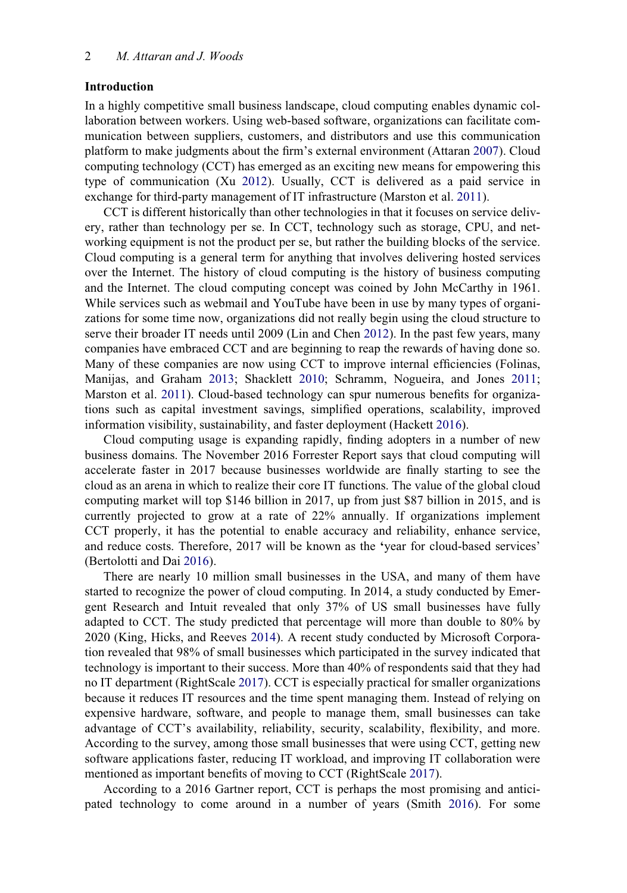#### Introduction

In a highly competitive small business landscape, cloud computing enables dynamic collaboration between workers. Using web-based software, organizations can facilitate communication between suppliers, customers, and distributors and use this communication platform to make judgments about the firm's external environment (Attaran [2007\)](#page-23-0). Cloud computing technology (CCT) has emerged as an exciting new means for empowering this type of communication (Xu [2012\)](#page-25-0). Usually, CCT is delivered as a paid service in exchange for third-party management of IT infrastructure (Marston et al. [2011\)](#page-24-0).

CCT is different historically than other technologies in that it focuses on service delivery, rather than technology per se. In CCT, technology such as storage, CPU, and networking equipment is not the product per se, but rather the building blocks of the service. Cloud computing is a general term for anything that involves delivering hosted services over the Internet. The history of cloud computing is the history of business computing and the Internet. The cloud computing concept was coined by John McCarthy in 1961. While services such as webmail and YouTube have been in use by many types of organizations for some time now, organizations did not really begin using the cloud structure to serve their broader IT needs until 2009 (Lin and Chen [2012](#page-24-1)). In the past few years, many companies have embraced CCT and are beginning to reap the rewards of having done so. Many of these companies are now using CCT to improve internal efficiencies (Folinas, Manijas, and Graham [2013](#page-23-1); Shacklett [2010](#page-24-2); Schramm, Nogueira, and Jones [2011;](#page-24-3) Marston et al. [2011\)](#page-24-0). Cloud-based technology can spur numerous benefits for organizations such as capital investment savings, simplified operations, scalability, improved information visibility, sustainability, and faster deployment (Hackett [2016](#page-24-4)).

Cloud computing usage is expanding rapidly, finding adopters in a number of new business domains. The November 2016 Forrester Report says that cloud computing will accelerate faster in 2017 because businesses worldwide are finally starting to see the cloud as an arena in which to realize their core IT functions. The value of the global cloud computing market will top \$146 billion in 2017, up from just \$87 billion in 2015, and is currently projected to grow at a rate of 22% annually. If organizations implement CCT properly, it has the potential to enable accuracy and reliability, enhance service, and reduce costs. Therefore, 2017 will be known as the 'year for cloud-based services' (Bertolotti and Dai [2016\)](#page-23-2).

There are nearly 10 million small businesses in the USA, and many of them have started to recognize the power of cloud computing. In 2014, a study conducted by Emergent Research and Intuit revealed that only 37% of US small businesses have fully adapted to CCT. The study predicted that percentage will more than double to 80% by 2020 (King, Hicks, and Reeves [2014](#page-24-5)). A recent study conducted by Microsoft Corporation revealed that 98% of small businesses which participated in the survey indicated that technology is important to their success. More than 40% of respondents said that they had no IT department (RightScale [2017\)](#page-24-6). CCT is especially practical for smaller organizations because it reduces IT resources and the time spent managing them. Instead of relying on expensive hardware, software, and people to manage them, small businesses can take advantage of CCT's availability, reliability, security, scalability, flexibility, and more. According to the survey, among those small businesses that were using CCT, getting new software applications faster, reducing IT workload, and improving IT collaboration were mentioned as important benefits of moving to CCT (RightScale [2017](#page-24-6)).

According to a 2016 Gartner report, CCT is perhaps the most promising and anticipated technology to come around in a number of years (Smith [2016](#page-24-7)). For some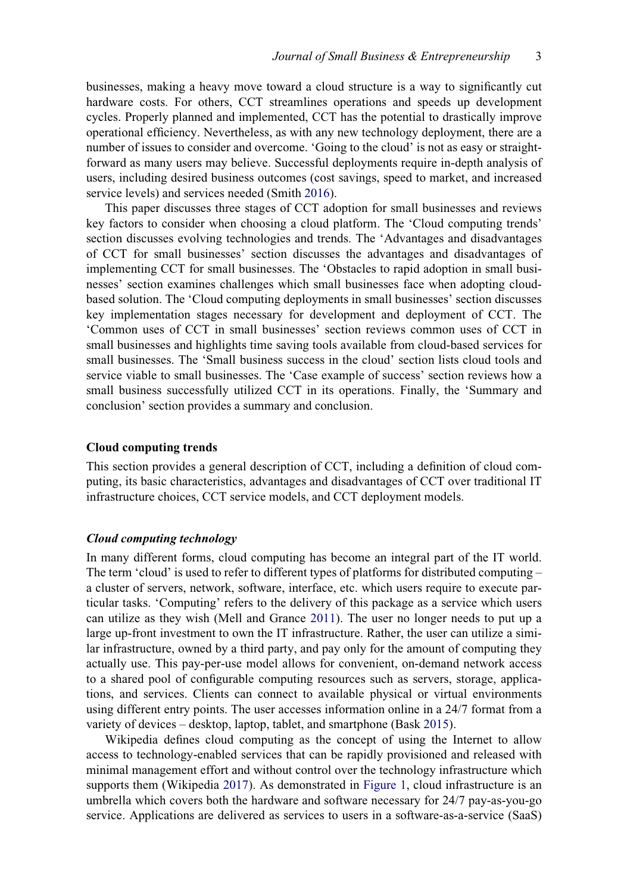businesses, making a heavy move toward a cloud structure is a way to significantly cut hardware costs. For others, CCT streamlines operations and speeds up development cycles. Properly planned and implemented, CCT has the potential to drastically improve operational efficiency. Nevertheless, as with any new technology deployment, there are a number of issues to consider and overcome. 'Going to the cloud' is not as easy or straightforward as many users may believe. Successful deployments require in-depth analysis of users, including desired business outcomes (cost savings, speed to market, and increased service levels) and services needed (Smith [2016\)](#page-24-7).

This paper discusses three stages of CCT adoption for small businesses and reviews key factors to consider when choosing a cloud platform. The 'Cloud computing trends' section discusses evolving technologies and trends. The 'Advantages and disadvantages of CCT for small businesses' section discusses the advantages and disadvantages of implementing CCT for small businesses. The 'Obstacles to rapid adoption in small businesses' section examines challenges which small businesses face when adopting cloudbased solution. The 'Cloud computing deployments in small businesses' section discusses key implementation stages necessary for development and deployment of CCT. The 'Common uses of CCT in small businesses' section reviews common uses of CCT in small businesses and highlights time saving tools available from cloud-based services for small businesses. The 'Small business success in the cloud' section lists cloud tools and service viable to small businesses. The 'Case example of success' section reviews how a small business successfully utilized CCT in its operations. Finally, the 'Summary and conclusion' section provides a summary and conclusion.

#### Cloud computing trends

This section provides a general description of CCT, including a definition of cloud computing, its basic characteristics, advantages and disadvantages of CCT over traditional IT infrastructure choices, CCT service models, and CCT deployment models.

#### Cloud computing technology

In many different forms, cloud computing has become an integral part of the IT world. The term 'cloud' is used to refer to different types of platforms for distributed computing – a cluster of servers, network, software, interface, etc. which users require to execute particular tasks. 'Computing' refers to the delivery of this package as a service which users can utilize as they wish (Mell and Grance [2011](#page-24-8)). The user no longer needs to put up a large up-front investment to own the IT infrastructure. Rather, the user can utilize a similar infrastructure, owned by a third party, and pay only for the amount of computing they actually use. This pay-per-use model allows for convenient, on-demand network access to a shared pool of configurable computing resources such as servers, storage, applications, and services. Clients can connect to available physical or virtual environments using different entry points. The user accesses information online in a 24/7 format from a variety of devices – desktop, laptop, tablet, and smartphone (Bask [2015](#page-23-3)).

Wikipedia defines cloud computing as the concept of using the Internet to allow access to technology-enabled services that can be rapidly provisioned and released with minimal management effort and without control over the technology infrastructure which supports them (Wikipedia [2017\)](#page-25-1). As demonstrated in [Figure 1,](#page-4-0) cloud infrastructure is an umbrella which covers both the hardware and software necessary for 24/7 pay-as-you-go service. Applications are delivered as services to users in a software-as-a-service (SaaS)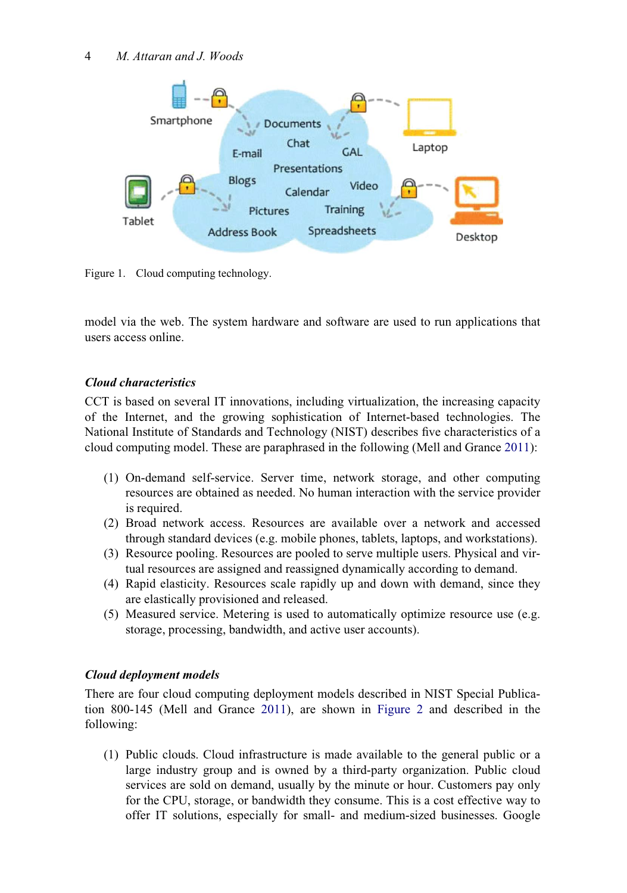<span id="page-4-0"></span>

Figure 1. Cloud computing technology.

model via the web. The system hardware and software are used to run applications that users access online.

# Cloud characteristics

CCT is based on several IT innovations, including virtualization, the increasing capacity of the Internet, and the growing sophistication of Internet-based technologies. The National Institute of Standards and Technology (NIST) describes five characteristics of a cloud computing model. These are paraphrased in the following (Mell and Grance [2011](#page-24-8)):

- (1) On-demand self-service. Server time, network storage, and other computing resources are obtained as needed. No human interaction with the service provider is required.
- (2) Broad network access. Resources are available over a network and accessed through standard devices (e.g. mobile phones, tablets, laptops, and workstations).
- (3) Resource pooling. Resources are pooled to serve multiple users. Physical and virtual resources are assigned and reassigned dynamically according to demand.
- (4) Rapid elasticity. Resources scale rapidly up and down with demand, since they are elastically provisioned and released.
- (5) Measured service. Metering is used to automatically optimize resource use (e.g. storage, processing, bandwidth, and active user accounts).

# Cloud deployment models

There are four cloud computing deployment models described in NIST Special Publication 800-145 (Mell and Grance [2011\)](#page-24-8), are shown in [Figure 2](#page-5-0) and described in the following:

(1) Public clouds. Cloud infrastructure is made available to the general public or a large industry group and is owned by a third-party organization. Public cloud services are sold on demand, usually by the minute or hour. Customers pay only for the CPU, storage, or bandwidth they consume. This is a cost effective way to offer IT solutions, especially for small- and medium-sized businesses. Google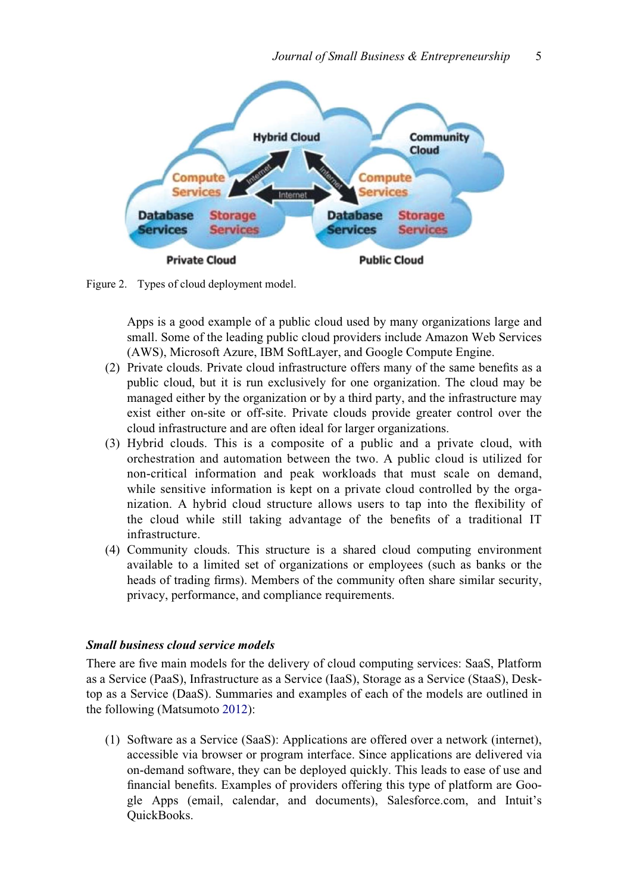<span id="page-5-0"></span>

Figure 2. Types of cloud deployment model.

Apps is a good example of a public cloud used by many organizations large and small. Some of the leading public cloud providers include Amazon Web Services (AWS), Microsoft Azure, IBM SoftLayer, and Google Compute Engine.

- (2) Private clouds. Private cloud infrastructure offers many of the same benefits as a public cloud, but it is run exclusively for one organization. The cloud may be managed either by the organization or by a third party, and the infrastructure may exist either on-site or off-site. Private clouds provide greater control over the cloud infrastructure and are often ideal for larger organizations.
- (3) Hybrid clouds. This is a composite of a public and a private cloud, with orchestration and automation between the two. A public cloud is utilized for non-critical information and peak workloads that must scale on demand, while sensitive information is kept on a private cloud controlled by the organization. A hybrid cloud structure allows users to tap into the flexibility of the cloud while still taking advantage of the benefits of a traditional IT infrastructure.
- (4) Community clouds. This structure is a shared cloud computing environment available to a limited set of organizations or employees (such as banks or the heads of trading firms). Members of the community often share similar security, privacy, performance, and compliance requirements.

#### Small business cloud service models

There are five main models for the delivery of cloud computing services: SaaS, Platform as a Service (PaaS), Infrastructure as a Service (IaaS), Storage as a Service (StaaS), Desktop as a Service (DaaS). Summaries and examples of each of the models are outlined in the following (Matsumoto [2012](#page-24-9)):

(1) Software as a Service (SaaS): Applications are offered over a network (internet), accessible via browser or program interface. Since applications are delivered via on-demand software, they can be deployed quickly. This leads to ease of use and financial benefits. Examples of providers offering this type of platform are Google Apps (email, calendar, and documents), Salesforce.com, and Intuit's QuickBooks.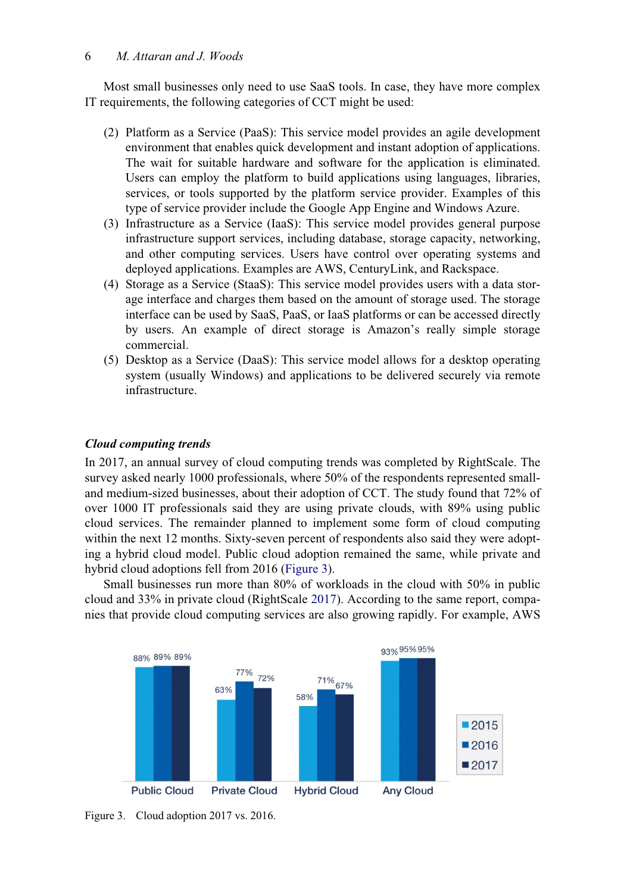### 6 M. Attaran and J. Woods

Most small businesses only need to use SaaS tools. In case, they have more complex IT requirements, the following categories of CCT might be used:

- (2) Platform as a Service (PaaS): This service model provides an agile development environment that enables quick development and instant adoption of applications. The wait for suitable hardware and software for the application is eliminated. Users can employ the platform to build applications using languages, libraries, services, or tools supported by the platform service provider. Examples of this type of service provider include the Google App Engine and Windows Azure.
- (3) Infrastructure as a Service (IaaS): This service model provides general purpose infrastructure support services, including database, storage capacity, networking, and other computing services. Users have control over operating systems and deployed applications. Examples are AWS, CenturyLink, and Rackspace.
- (4) Storage as a Service (StaaS): This service model provides users with a data storage interface and charges them based on the amount of storage used. The storage interface can be used by SaaS, PaaS, or IaaS platforms or can be accessed directly by users. An example of direct storage is Amazon's really simple storage commercial.
- (5) Desktop as a Service (DaaS): This service model allows for a desktop operating system (usually Windows) and applications to be delivered securely via remote infrastructure.

# Cloud computing trends

In 2017, an annual survey of cloud computing trends was completed by RightScale. The survey asked nearly 1000 professionals, where 50% of the respondents represented smalland medium-sized businesses, about their adoption of CCT. The study found that 72% of over 1000 IT professionals said they are using private clouds, with 89% using public cloud services. The remainder planned to implement some form of cloud computing within the next 12 months. Sixty-seven percent of respondents also said they were adopting a hybrid cloud model. Public cloud adoption remained the same, while private and hybrid cloud adoptions fell from 2016 [\(Figure 3\)](#page-6-0).

<span id="page-6-0"></span>Small businesses run more than 80% of workloads in the cloud with 50% in public cloud and 33% in private cloud (RightScale [2017\)](#page-24-6). According to the same report, companies that provide cloud computing services are also growing rapidly. For example, AWS



Figure 3. Cloud adoption 2017 vs. 2016.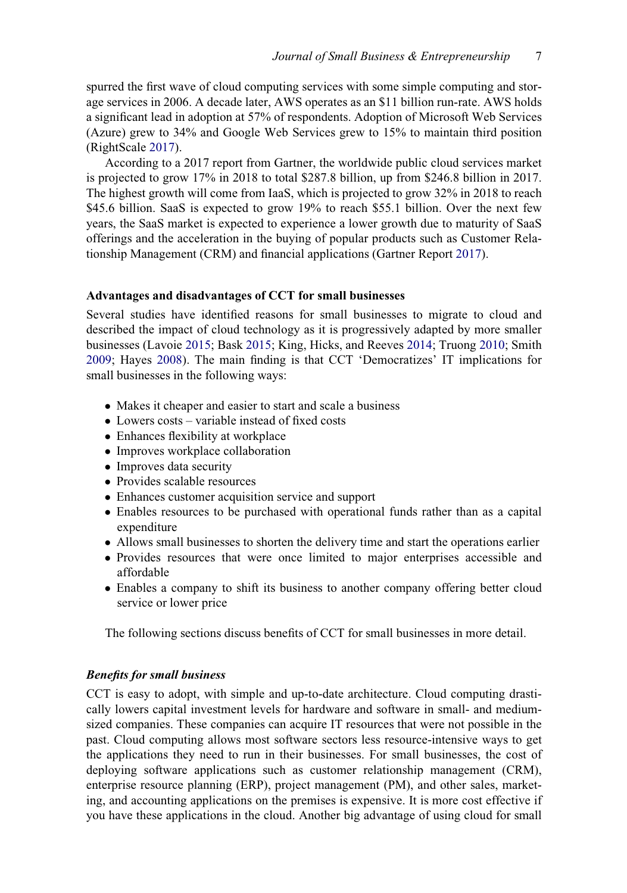spurred the first wave of cloud computing services with some simple computing and storage services in 2006. A decade later, AWS operates as an \$11 billion run-rate. AWS holds a significant lead in adoption at 57% of respondents. Adoption of Microsoft Web Services (Azure) grew to 34% and Google Web Services grew to 15% to maintain third position (RightScale [2017\)](#page-24-6).

According to a 2017 report from Gartner, the worldwide public cloud services market is projected to grow 17% in 2018 to total \$287.8 billion, up from \$246.8 billion in 2017. The highest growth will come from IaaS, which is projected to grow 32% in 2018 to reach \$45.6 billion. SaaS is expected to grow 19% to reach \$55.1 billion. Over the next few years, the SaaS market is expected to experience a lower growth due to maturity of SaaS offerings and the acceleration in the buying of popular products such as Customer Relationship Management (CRM) and financial applications (Gartner Report [2017\)](#page-23-4).

## Advantages and disadvantages of CCT for small businesses

Several studies have identified reasons for small businesses to migrate to cloud and described the impact of cloud technology as it is progressively adapted by more smaller businesses (Lavoie [2015;](#page-24-10) Bask [2015;](#page-23-3) King, Hicks, and Reeves [2014](#page-24-5); Truong [2010](#page-25-2); Smith [2009;](#page-24-11) Hayes [2008](#page-24-12)). The main finding is that CCT 'Democratizes' IT implications for small businesses in the following ways:

- Makes it cheaper and easier to start and scale a business
- Lowers costs variable instead of fixed costs
- Enhances flexibility at workplace
- Improves workplace collaboration
- Improves data security
- Provides scalable resources
- Enhances customer acquisition service and support
- Enables resources to be purchased with operational funds rather than as a capital expenditure
- Allows small businesses to shorten the delivery time and start the operations earlier
- Provides resources that were once limited to major enterprises accessible and affordable
- Enables a company to shift its business to another company offering better cloud service or lower price

The following sections discuss benefits of CCT for small businesses in more detail.

# Benefits for small business

CCT is easy to adopt, with simple and up-to-date architecture. Cloud computing drastically lowers capital investment levels for hardware and software in small- and mediumsized companies. These companies can acquire IT resources that were not possible in the past. Cloud computing allows most software sectors less resource-intensive ways to get the applications they need to run in their businesses. For small businesses, the cost of deploying software applications such as customer relationship management (CRM), enterprise resource planning (ERP), project management (PM), and other sales, marketing, and accounting applications on the premises is expensive. It is more cost effective if you have these applications in the cloud. Another big advantage of using cloud for small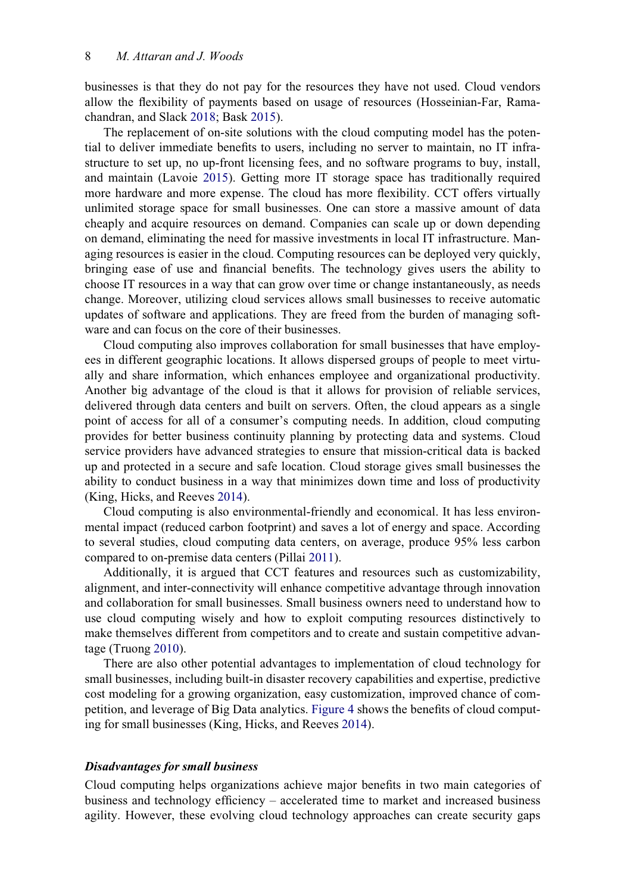businesses is that they do not pay for the resources they have not used. Cloud vendors allow the flexibility of payments based on usage of resources (Hosseinian-Far, Ramachandran, and Slack [2018;](#page-24-13) Bask [2015](#page-23-3)).

The replacement of on-site solutions with the cloud computing model has the potential to deliver immediate benefits to users, including no server to maintain, no IT infrastructure to set up, no up-front licensing fees, and no software programs to buy, install, and maintain (Lavoie [2015\)](#page-24-10). Getting more IT storage space has traditionally required more hardware and more expense. The cloud has more flexibility. CCT offers virtually unlimited storage space for small businesses. One can store a massive amount of data cheaply and acquire resources on demand. Companies can scale up or down depending on demand, eliminating the need for massive investments in local IT infrastructure. Managing resources is easier in the cloud. Computing resources can be deployed very quickly, bringing ease of use and financial benefits. The technology gives users the ability to choose IT resources in a way that can grow over time or change instantaneously, as needs change. Moreover, utilizing cloud services allows small businesses to receive automatic updates of software and applications. They are freed from the burden of managing software and can focus on the core of their businesses.

Cloud computing also improves collaboration for small businesses that have employees in different geographic locations. It allows dispersed groups of people to meet virtually and share information, which enhances employee and organizational productivity. Another big advantage of the cloud is that it allows for provision of reliable services, delivered through data centers and built on servers. Often, the cloud appears as a single point of access for all of a consumer's computing needs. In addition, cloud computing provides for better business continuity planning by protecting data and systems. Cloud service providers have advanced strategies to ensure that mission-critical data is backed up and protected in a secure and safe location. Cloud storage gives small businesses the ability to conduct business in a way that minimizes down time and loss of productivity (King, Hicks, and Reeves [2014](#page-24-5)).

Cloud computing is also environmental-friendly and economical. It has less environmental impact (reduced carbon footprint) and saves a lot of energy and space. According to several studies, cloud computing data centers, on average, produce 95% less carbon compared to on-premise data centers (Pillai [2011](#page-24-14)).

Additionally, it is argued that CCT features and resources such as customizability, alignment, and inter-connectivity will enhance competitive advantage through innovation and collaboration for small businesses. Small business owners need to understand how to use cloud computing wisely and how to exploit computing resources distinctively to make themselves different from competitors and to create and sustain competitive advantage (Truong [2010\)](#page-25-2).

There are also other potential advantages to implementation of cloud technology for small businesses, including built-in disaster recovery capabilities and expertise, predictive cost modeling for a growing organization, easy customization, improved chance of competition, and leverage of Big Data analytics. [Figure 4](#page-9-0) shows the benefits of cloud computing for small businesses (King, Hicks, and Reeves [2014](#page-24-5)).

#### Disadvantages for small business

Cloud computing helps organizations achieve major benefits in two main categories of business and technology efficiency – accelerated time to market and increased business agility. However, these evolving cloud technology approaches can create security gaps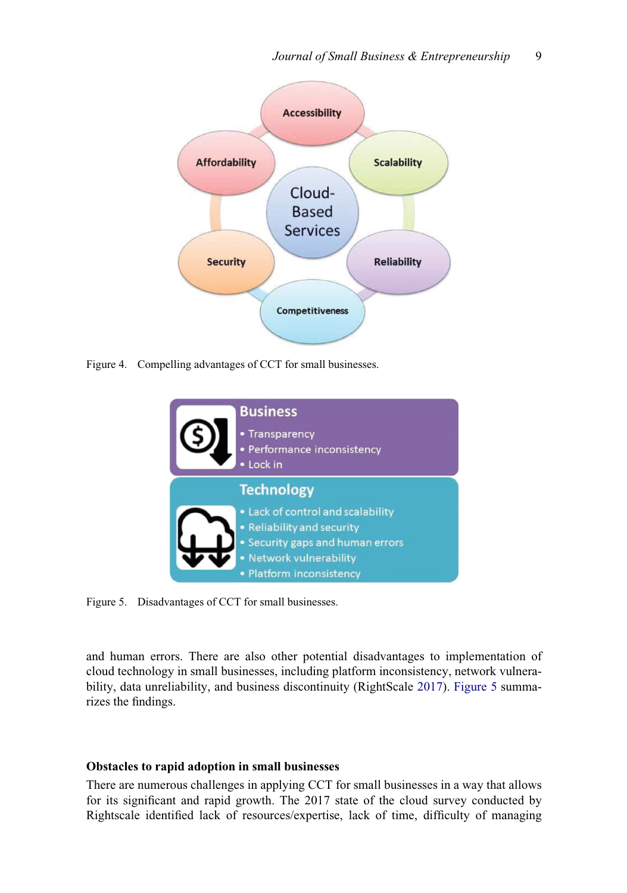<span id="page-9-0"></span>

<span id="page-9-1"></span>Figure 4. Compelling advantages of CCT for small businesses.



Figure 5. Disadvantages of CCT for small businesses.

and human errors. There are also other potential disadvantages to implementation of cloud technology in small businesses, including platform inconsistency, network vulnera-bility, data unreliability, and business discontinuity (RightScale [2017](#page-24-6)). [Figure 5](#page-9-1) summarizes the findings.

#### Obstacles to rapid adoption in small businesses

There are numerous challenges in applying CCT for small businesses in a way that allows for its significant and rapid growth. The 2017 state of the cloud survey conducted by Rightscale identified lack of resources/expertise, lack of time, difficulty of managing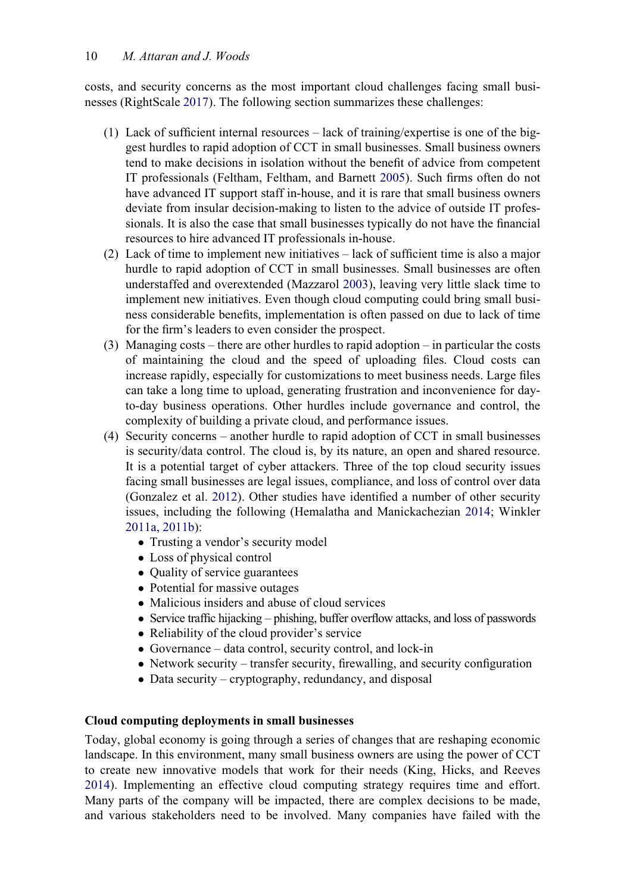costs, and security concerns as the most important cloud challenges facing small businesses (RightScale [2017](#page-24-6)). The following section summarizes these challenges:

- (1) Lack of sufficient internal resources lack of training/expertise is one of the biggest hurdles to rapid adoption of CCT in small businesses. Small business owners tend to make decisions in isolation without the benefit of advice from competent IT professionals (Feltham, Feltham, and Barnett [2005](#page-23-5)). Such firms often do not have advanced IT support staff in-house, and it is rare that small business owners deviate from insular decision-making to listen to the advice of outside IT professionals. It is also the case that small businesses typically do not have the financial resources to hire advanced IT professionals in-house.
- (2) Lack of time to implement new initiatives lack of sufficient time is also a major hurdle to rapid adoption of CCT in small businesses. Small businesses are often understaffed and overextended (Mazzarol [2003\)](#page-24-15), leaving very little slack time to implement new initiatives. Even though cloud computing could bring small business considerable benefits, implementation is often passed on due to lack of time for the firm's leaders to even consider the prospect.
- (3) Managing costs there are other hurdles to rapid adoption in particular the costs of maintaining the cloud and the speed of uploading files. Cloud costs can increase rapidly, especially for customizations to meet business needs. Large files can take a long time to upload, generating frustration and inconvenience for dayto-day business operations. Other hurdles include governance and control, the complexity of building a private cloud, and performance issues.
- (4) Security concerns another hurdle to rapid adoption of CCT in small businesses is security/data control. The cloud is, by its nature, an open and shared resource. It is a potential target of cyber attackers. Three of the top cloud security issues facing small businesses are legal issues, compliance, and loss of control over data (Gonzalez et al. [2012\)](#page-24-16). Other studies have identified a number of other security issues, including the following (Hemalatha and Manickachezian [2014](#page-24-17); Winkler [2011a](#page-25-3), [2011b](#page-25-4)):
	- Trusting a vendor's security model
	- Loss of physical control
	- Quality of service guarantees
	- Potential for massive outages
	- Malicious insiders and abuse of cloud services
	- Service traffic hijacking phishing, buffer overflow attacks, and loss of passwords
	- Reliability of the cloud provider's service
	- Governance data control, security control, and lock-in
	- Network security transfer security, firewalling, and security configuration
	- Data security cryptography, redundancy, and disposal

# Cloud computing deployments in small businesses

Today, global economy is going through a series of changes that are reshaping economic landscape. In this environment, many small business owners are using the power of CCT to create new innovative models that work for their needs (King, Hicks, and Reeves [2014\)](#page-24-5). Implementing an effective cloud computing strategy requires time and effort. Many parts of the company will be impacted, there are complex decisions to be made, and various stakeholders need to be involved. Many companies have failed with the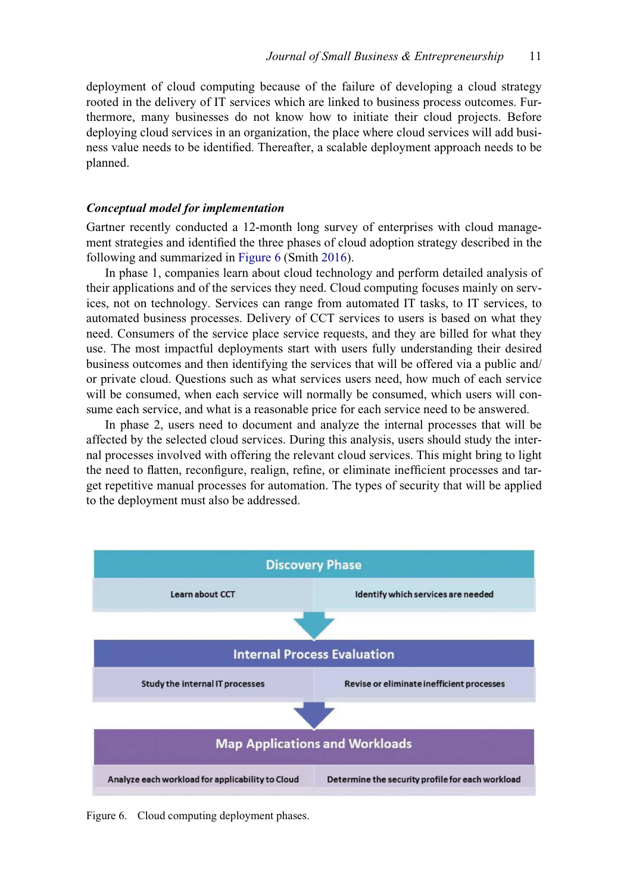deployment of cloud computing because of the failure of developing a cloud strategy rooted in the delivery of IT services which are linked to business process outcomes. Furthermore, many businesses do not know how to initiate their cloud projects. Before deploying cloud services in an organization, the place where cloud services will add business value needs to be identified. Thereafter, a scalable deployment approach needs to be planned.

#### Conceptual model for implementation

Gartner recently conducted a 12-month long survey of enterprises with cloud management strategies and identified the three phases of cloud adoption strategy described in the following and summarized in [Figure 6](#page-11-0) (Smith [2016](#page-24-7)).

In phase 1, companies learn about cloud technology and perform detailed analysis of their applications and of the services they need. Cloud computing focuses mainly on services, not on technology. Services can range from automated IT tasks, to IT services, to automated business processes. Delivery of CCT services to users is based on what they need. Consumers of the service place service requests, and they are billed for what they use. The most impactful deployments start with users fully understanding their desired business outcomes and then identifying the services that will be offered via a public and/ or private cloud. Questions such as what services users need, how much of each service will be consumed, when each service will normally be consumed, which users will consume each service, and what is a reasonable price for each service need to be answered.

In phase 2, users need to document and analyze the internal processes that will be affected by the selected cloud services. During this analysis, users should study the internal processes involved with offering the relevant cloud services. This might bring to light the need to flatten, reconfigure, realign, refine, or eliminate inefficient processes and target repetitive manual processes for automation. The types of security that will be applied to the deployment must also be addressed.

<span id="page-11-0"></span>

Figure 6. Cloud computing deployment phases.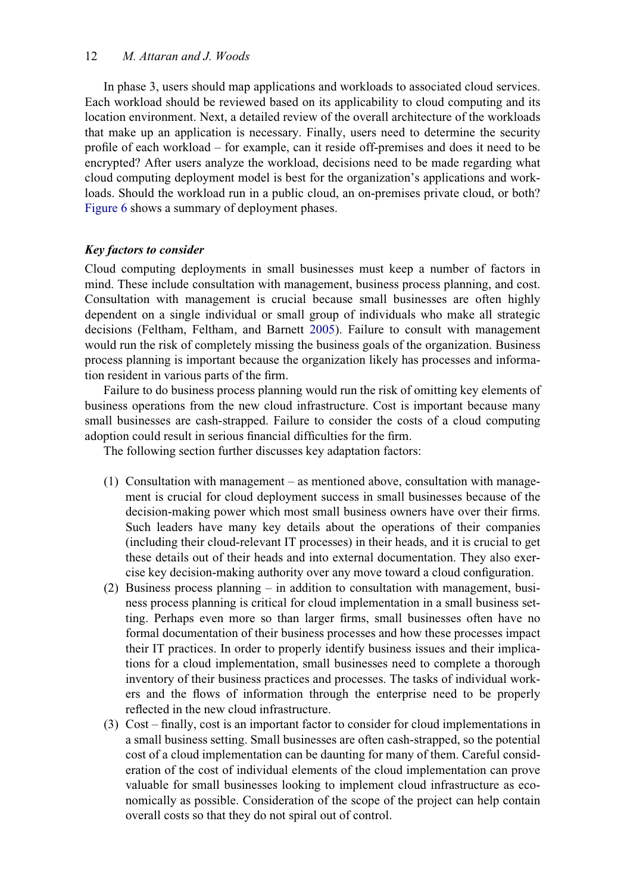In phase 3, users should map applications and workloads to associated cloud services. Each workload should be reviewed based on its applicability to cloud computing and its location environment. Next, a detailed review of the overall architecture of the workloads that make up an application is necessary. Finally, users need to determine the security profile of each workload – for example, can it reside off-premises and does it need to be encrypted? After users analyze the workload, decisions need to be made regarding what cloud computing deployment model is best for the organization's applications and workloads. Should the workload run in a public cloud, an on-premises private cloud, or both? [Figure 6](#page-11-0) shows a summary of deployment phases.

#### Key factors to consider

Cloud computing deployments in small businesses must keep a number of factors in mind. These include consultation with management, business process planning, and cost. Consultation with management is crucial because small businesses are often highly dependent on a single individual or small group of individuals who make all strategic decisions (Feltham, Feltham, and Barnett [2005\)](#page-23-5). Failure to consult with management would run the risk of completely missing the business goals of the organization. Business process planning is important because the organization likely has processes and information resident in various parts of the firm.

Failure to do business process planning would run the risk of omitting key elements of business operations from the new cloud infrastructure. Cost is important because many small businesses are cash-strapped. Failure to consider the costs of a cloud computing adoption could result in serious financial difficulties for the firm.

The following section further discusses key adaptation factors:

- (1) Consultation with management as mentioned above, consultation with management is crucial for cloud deployment success in small businesses because of the decision-making power which most small business owners have over their firms. Such leaders have many key details about the operations of their companies (including their cloud-relevant IT processes) in their heads, and it is crucial to get these details out of their heads and into external documentation. They also exercise key decision-making authority over any move toward a cloud configuration.
- (2) Business process planning in addition to consultation with management, business process planning is critical for cloud implementation in a small business setting. Perhaps even more so than larger firms, small businesses often have no formal documentation of their business processes and how these processes impact their IT practices. In order to properly identify business issues and their implications for a cloud implementation, small businesses need to complete a thorough inventory of their business practices and processes. The tasks of individual workers and the flows of information through the enterprise need to be properly reflected in the new cloud infrastructure.
- (3) Cost finally, cost is an important factor to consider for cloud implementations in a small business setting. Small businesses are often cash-strapped, so the potential cost of a cloud implementation can be daunting for many of them. Careful consideration of the cost of individual elements of the cloud implementation can prove valuable for small businesses looking to implement cloud infrastructure as economically as possible. Consideration of the scope of the project can help contain overall costs so that they do not spiral out of control.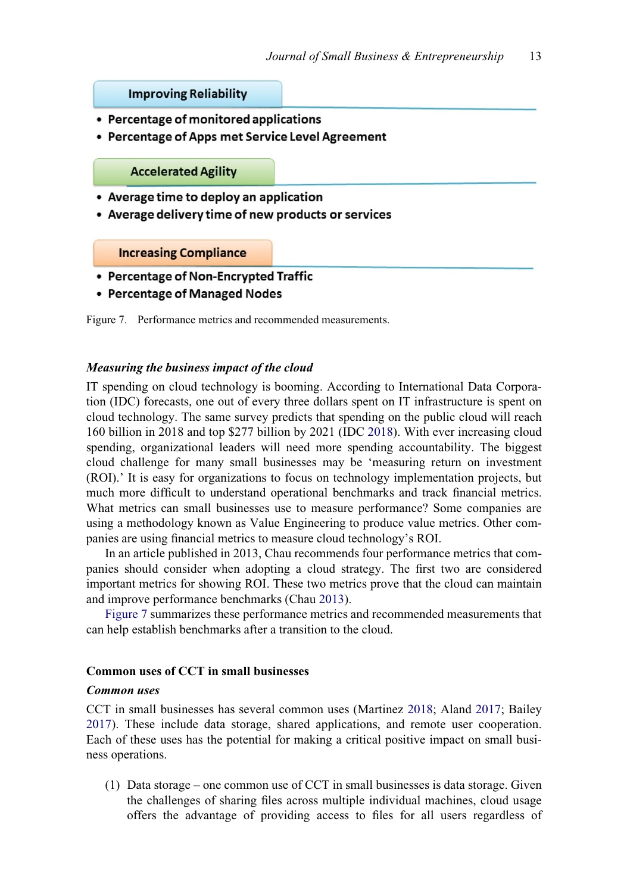#### **Improving Reliability**

- <span id="page-13-0"></span>• Percentage of monitored applications
- Percentage of Apps met Service Level Agreement

**Accelerated Agility** 

- Average time to deploy an application
- Average delivery time of new products or services

**Increasing Compliance** 

- Percentage of Non-Encrypted Traffic
- Percentage of Managed Nodes

## Measuring the business impact of the cloud

IT spending on cloud technology is booming. According to International Data Corporation (IDC) forecasts, one out of every three dollars spent on IT infrastructure is spent on cloud technology. The same survey predicts that spending on the public cloud will reach 160 billion in 2018 and top \$277 billion by 2021 (IDC [2018](#page-24-18)). With ever increasing cloud spending, organizational leaders will need more spending accountability. The biggest cloud challenge for many small businesses may be 'measuring return on investment (ROI).' It is easy for organizations to focus on technology implementation projects, but much more difficult to understand operational benchmarks and track financial metrics. What metrics can small businesses use to measure performance? Some companies are using a methodology known as Value Engineering to produce value metrics. Other companies are using financial metrics to measure cloud technology's ROI.

In an article published in 2013, Chau recommends four performance metrics that companies should consider when adopting a cloud strategy. The first two are considered important metrics for showing ROI. These two metrics prove that the cloud can maintain and improve performance benchmarks (Chau [2013](#page-23-6)).

[Figure 7](#page-13-0) summarizes these performance metrics and recommended measurements that can help establish benchmarks after a transition to the cloud.

# Common uses of CCT in small businesses

#### Common uses

CCT in small businesses has several common uses (Martinez [2018;](#page-24-19) Aland [2017](#page-23-7); Bailey [2017\)](#page-23-8). These include data storage, shared applications, and remote user cooperation. Each of these uses has the potential for making a critical positive impact on small business operations.

(1) Data storage – one common use of CCT in small businesses is data storage. Given the challenges of sharing files across multiple individual machines, cloud usage offers the advantage of providing access to files for all users regardless of

Figure 7. Performance metrics and recommended measurements.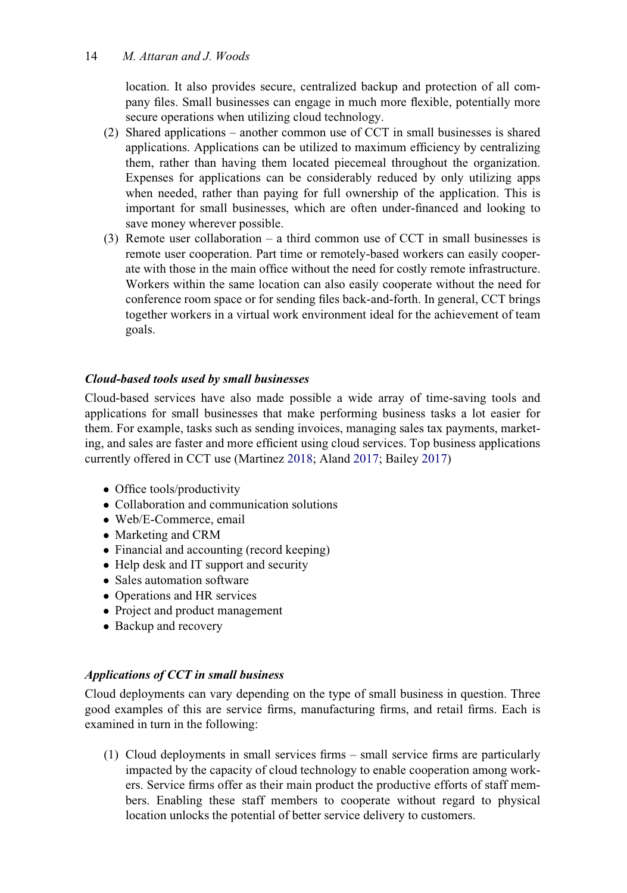# 14 M. Attaran and J. Woods

location. It also provides secure, centralized backup and protection of all company files. Small businesses can engage in much more flexible, potentially more secure operations when utilizing cloud technology.

- (2) Shared applications another common use of CCT in small businesses is shared applications. Applications can be utilized to maximum efficiency by centralizing them, rather than having them located piecemeal throughout the organization. Expenses for applications can be considerably reduced by only utilizing apps when needed, rather than paying for full ownership of the application. This is important for small businesses, which are often under-financed and looking to save money wherever possible.
- (3) Remote user collaboration a third common use of CCT in small businesses is remote user cooperation. Part time or remotely-based workers can easily cooperate with those in the main office without the need for costly remote infrastructure. Workers within the same location can also easily cooperate without the need for conference room space or for sending files back-and-forth. In general, CCT brings together workers in a virtual work environment ideal for the achievement of team goals.

# Cloud-based tools used by small businesses

Cloud-based services have also made possible a wide array of time-saving tools and applications for small businesses that make performing business tasks a lot easier for them. For example, tasks such as sending invoices, managing sales tax payments, marketing, and sales are faster and more efficient using cloud services. Top business applications currently offered in CCT use (Martinez [2018](#page-24-19); Aland [2017](#page-23-7); Bailey [2017\)](#page-23-8)

- Office tools/productivity
- Collaboration and communication solutions
- Web/E-Commerce, email
- Marketing and CRM
- Financial and accounting (record keeping)
- Help desk and IT support and security
- Sales automation software
- Operations and HR services
- Project and product management
- Backup and recovery

# Applications of CCT in small business

Cloud deployments can vary depending on the type of small business in question. Three good examples of this are service firms, manufacturing firms, and retail firms. Each is examined in turn in the following:

(1) Cloud deployments in small services firms – small service firms are particularly impacted by the capacity of cloud technology to enable cooperation among workers. Service firms offer as their main product the productive efforts of staff members. Enabling these staff members to cooperate without regard to physical location unlocks the potential of better service delivery to customers.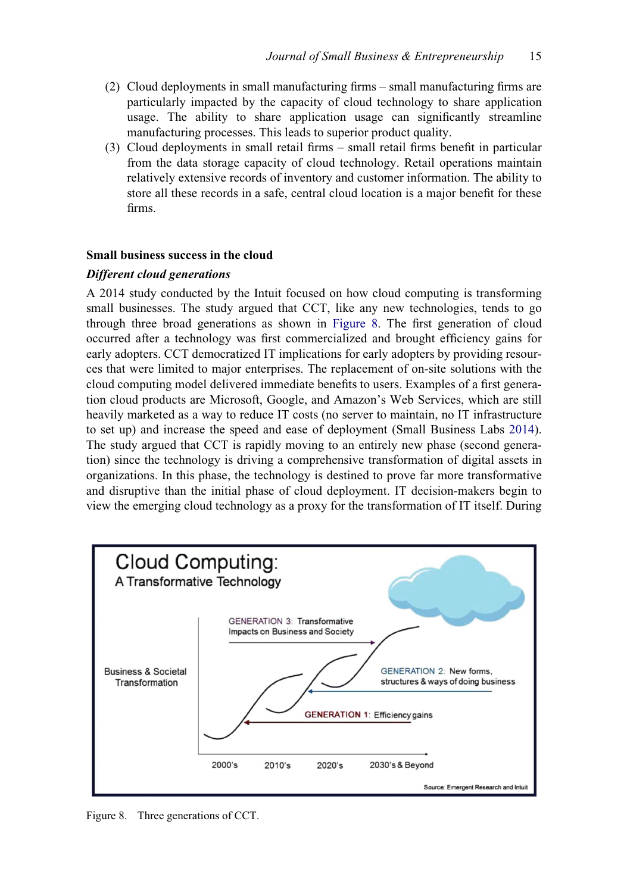- (2) Cloud deployments in small manufacturing firms small manufacturing firms are particularly impacted by the capacity of cloud technology to share application usage. The ability to share application usage can significantly streamline manufacturing processes. This leads to superior product quality.
- (3) Cloud deployments in small retail firms small retail firms benefit in particular from the data storage capacity of cloud technology. Retail operations maintain relatively extensive records of inventory and customer information. The ability to store all these records in a safe, central cloud location is a major benefit for these firms.

## Small business success in the cloud

## Different cloud generations

A 2014 study conducted by the Intuit focused on how cloud computing is transforming small businesses. The study argued that CCT, like any new technologies, tends to go through three broad generations as shown in [Figure 8](#page-15-0). The first generation of cloud occurred after a technology was first commercialized and brought efficiency gains for early adopters. CCT democratized IT implications for early adopters by providing resources that were limited to major enterprises. The replacement of on-site solutions with the cloud computing model delivered immediate benefits to users. Examples of a first generation cloud products are Microsoft, Google, and Amazon's Web Services, which are still heavily marketed as a way to reduce IT costs (no server to maintain, no IT infrastructure to set up) and increase the speed and ease of deployment (Small Business Labs [2014\)](#page-24-20). The study argued that CCT is rapidly moving to an entirely new phase (second generation) since the technology is driving a comprehensive transformation of digital assets in organizations. In this phase, the technology is destined to prove far more transformative and disruptive than the initial phase of cloud deployment. IT decision-makers begin to view the emerging cloud technology as a proxy for the transformation of IT itself. During

<span id="page-15-0"></span>

Figure 8. Three generations of CCT.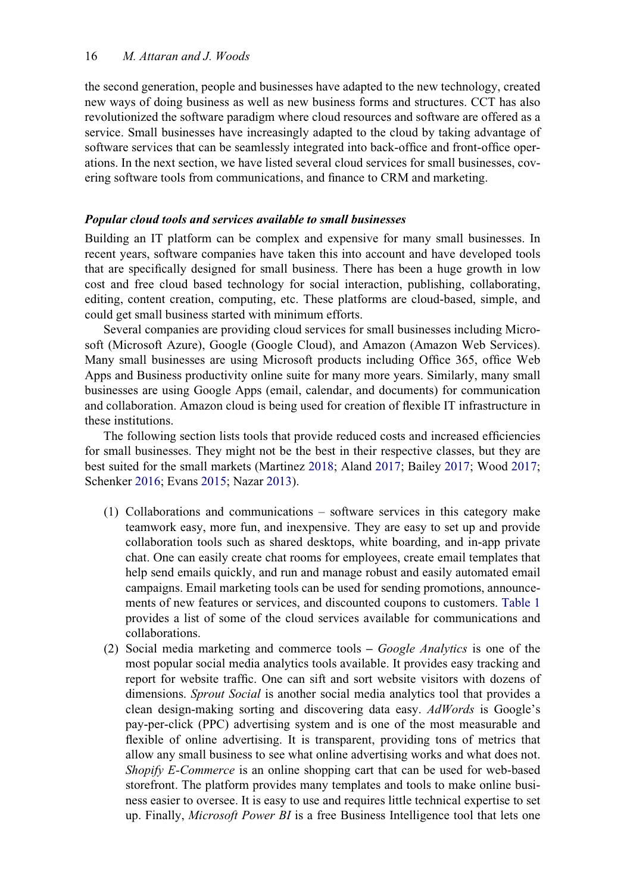the second generation, people and businesses have adapted to the new technology, created new ways of doing business as well as new business forms and structures. CCT has also revolutionized the software paradigm where cloud resources and software are offered as a service. Small businesses have increasingly adapted to the cloud by taking advantage of software services that can be seamlessly integrated into back-office and front-office operations. In the next section, we have listed several cloud services for small businesses, covering software tools from communications, and finance to CRM and marketing.

#### Popular cloud tools and services available to small businesses

Building an IT platform can be complex and expensive for many small businesses. In recent years, software companies have taken this into account and have developed tools that are specifically designed for small business. There has been a huge growth in low cost and free cloud based technology for social interaction, publishing, collaborating, editing, content creation, computing, etc. These platforms are cloud-based, simple, and could get small business started with minimum efforts.

Several companies are providing cloud services for small businesses including Microsoft (Microsoft Azure), Google (Google Cloud), and Amazon (Amazon Web Services). Many small businesses are using Microsoft products including Office 365, office Web Apps and Business productivity online suite for many more years. Similarly, many small businesses are using Google Apps (email, calendar, and documents) for communication and collaboration. Amazon cloud is being used for creation of flexible IT infrastructure in these institutions.

The following section lists tools that provide reduced costs and increased efficiencies for small businesses. They might not be the best in their respective classes, but they are best suited for the small markets (Martinez [2018;](#page-24-19) Aland [2017](#page-23-7); Bailey [2017;](#page-23-8) Wood [2017;](#page-25-5) Schenker [2016](#page-24-21); Evans [2015](#page-23-9); Nazar [2013\)](#page-24-22).

- (1) Collaborations and communications software services in this category make teamwork easy, more fun, and inexpensive. They are easy to set up and provide collaboration tools such as shared desktops, white boarding, and in-app private chat. One can easily create chat rooms for employees, create email templates that help send emails quickly, and run and manage robust and easily automated email campaigns. Email marketing tools can be used for sending promotions, announcements of new features or services, and discounted coupons to customers. [Table 1](#page-17-0) provides a list of some of the cloud services available for communications and collaborations.
- (2) Social media marketing and commerce tools Google Analytics is one of the most popular social media analytics tools available. It provides easy tracking and report for website traffic. One can sift and sort website visitors with dozens of dimensions. Sprout Social is another social media analytics tool that provides a clean design-making sorting and discovering data easy. AdWords is Google's pay-per-click (PPC) advertising system and is one of the most measurable and flexible of online advertising. It is transparent, providing tons of metrics that allow any small business to see what online advertising works and what does not. Shopify E-Commerce is an online shopping cart that can be used for web-based storefront. The platform provides many templates and tools to make online business easier to oversee. It is easy to use and requires little technical expertise to set up. Finally, *Microsoft Power BI* is a free Business Intelligence tool that lets one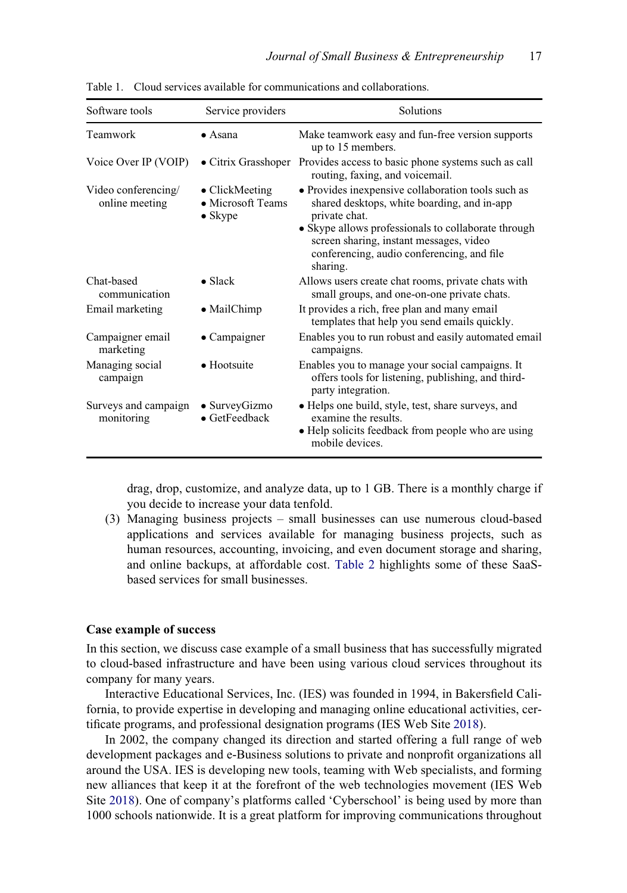| Software tools                        | Service providers                                              | Solutions                                                                                                                                                                                                                                                                      |
|---------------------------------------|----------------------------------------------------------------|--------------------------------------------------------------------------------------------------------------------------------------------------------------------------------------------------------------------------------------------------------------------------------|
| Teamwork                              | $\bullet$ Asana                                                | Make teamwork easy and fun-free version supports<br>up to 15 members.                                                                                                                                                                                                          |
| Voice Over IP (VOIP)                  |                                                                | • Citrix Grasshoper Provides access to basic phone systems such as call<br>routing, faxing, and voicemail.                                                                                                                                                                     |
| Video conferencing/<br>online meeting | $\bullet$ ClickMeeting<br>• Microsoft Teams<br>$\bullet$ Skype | • Provides inexpensive collaboration tools such as<br>shared desktops, white boarding, and in-app<br>private chat.<br>• Skype allows professionals to collaborate through<br>screen sharing, instant messages, video<br>conferencing, audio conferencing, and file<br>sharing. |
| Chat-based<br>communication           | $\bullet$ Slack                                                | Allows users create chat rooms, private chats with<br>small groups, and one-on-one private chats.                                                                                                                                                                              |
| Email marketing                       | $\bullet$ MailChimp                                            | It provides a rich, free plan and many email<br>templates that help you send emails quickly.                                                                                                                                                                                   |
| Campaigner email<br>marketing         | $\bullet$ Campaigner                                           | Enables you to run robust and easily automated email<br>campaigns.                                                                                                                                                                                                             |
| Managing social<br>campaign           | $\bullet$ Hootsuite                                            | Enables you to manage your social campaigns. It<br>offers tools for listening, publishing, and third-<br>party integration.                                                                                                                                                    |
| Surveys and campaign<br>monitoring    | • SurveyGizmo<br>$\bullet$ GetFeedback                         | • Helps one build, style, test, share surveys, and<br>examine the results.<br>• Help solicits feedback from people who are using<br>mobile devices.                                                                                                                            |

<span id="page-17-0"></span>Table 1. Cloud services available for communications and collaborations.

drag, drop, customize, and analyze data, up to 1 GB. There is a monthly charge if you decide to increase your data tenfold.

(3) Managing business projects – small businesses can use numerous cloud-based applications and services available for managing business projects, such as human resources, accounting, invoicing, and even document storage and sharing, and online backups, at affordable cost. [Table 2](#page-19-0) highlights some of these SaaSbased services for small businesses.

#### Case example of success

In this section, we discuss case example of a small business that has successfully migrated to cloud-based infrastructure and have been using various cloud services throughout its company for many years.

Interactive Educational Services, Inc. (IES) was founded in 1994, in Bakersfield California, to provide expertise in developing and managing online educational activities, certificate programs, and professional designation programs (IES Web Site [2018](#page-24-23)).

In 2002, the company changed its direction and started offering a full range of web development packages and e-Business solutions to private and nonprofit organizations all around the USA. IES is developing new tools, teaming with Web specialists, and forming new alliances that keep it at the forefront of the web technologies movement (IES Web Site [2018](#page-24-23)). One of company's platforms called 'Cyberschool' is being used by more than 1000 schools nationwide. It is a great platform for improving communications throughout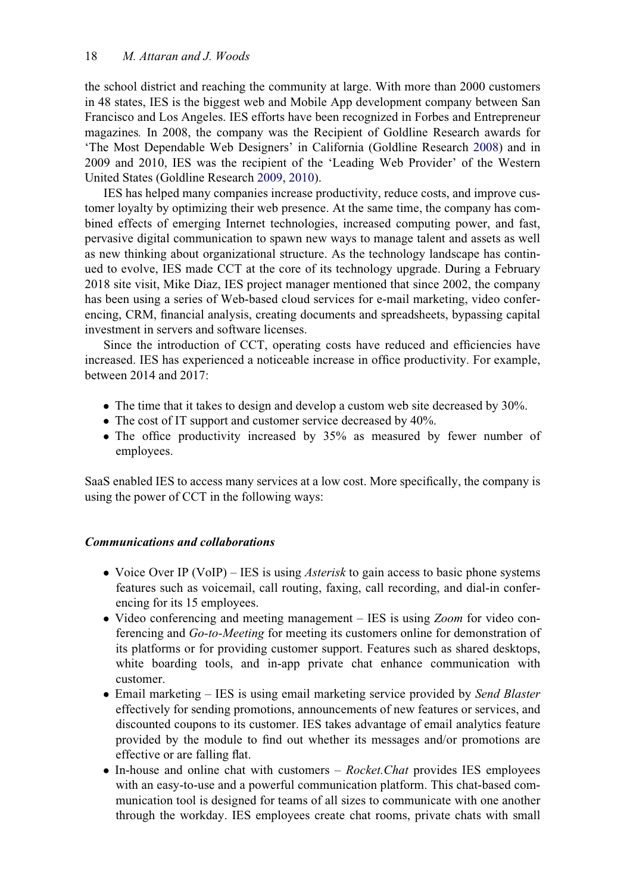the school district and reaching the community at large. With more than 2000 customers in 48 states, IES is the biggest web and Mobile App development company between San Francisco and Los Angeles. IES efforts have been recognized in Forbes and Entrepreneur magazines. In 2008, the company was the Recipient of Goldline Research awards for 'The Most Dependable Web Designers' in California (Goldline Research [2008](#page-23-10)) and in 2009 and 2010, IES was the recipient of the 'Leading Web Provider' of the Western United States (Goldline Research [2009](#page-23-11), [2010](#page-23-12)).

IES has helped many companies increase productivity, reduce costs, and improve customer loyalty by optimizing their web presence. At the same time, the company has combined effects of emerging Internet technologies, increased computing power, and fast, pervasive digital communication to spawn new ways to manage talent and assets as well as new thinking about organizational structure. As the technology landscape has continued to evolve, IES made CCT at the core of its technology upgrade. During a February 2018 site visit, Mike Diaz, IES project manager mentioned that since 2002, the company has been using a series of Web-based cloud services for e-mail marketing, video conferencing, CRM, financial analysis, creating documents and spreadsheets, bypassing capital investment in servers and software licenses.

Since the introduction of CCT, operating costs have reduced and efficiencies have increased. IES has experienced a noticeable increase in office productivity. For example, between 2014 and 2017:

- The time that it takes to design and develop a custom web site decreased by 30%.
- The cost of IT support and customer service decreased by 40%.
- The office productivity increased by 35% as measured by fewer number of employees.

SaaS enabled IES to access many services at a low cost. More specifically, the company is using the power of CCT in the following ways:

#### Communications and collaborations

- Voice Over IP (VoIP) IES is using *Asterisk* to gain access to basic phone systems features such as voicemail, call routing, faxing, call recording, and dial-in conferencing for its 15 employees.
- $\bullet$  Video conferencing and meeting management IES is using *Zoom* for video conferencing and Go-to-Meeting for meeting its customers online for demonstration of its platforms or for providing customer support. Features such as shared desktops, white boarding tools, and in-app private chat enhance communication with customer.
- Email marketing IES is using email marketing service provided by Send Blaster effectively for sending promotions, announcements of new features or services, and discounted coupons to its customer. IES takes advantage of email analytics feature provided by the module to find out whether its messages and/or promotions are effective or are falling flat.
- $\bullet$  In-house and online chat with customers Rocket. Chat provides IES employees with an easy-to-use and a powerful communication platform. This chat-based communication tool is designed for teams of all sizes to communicate with one another through the workday. IES employees create chat rooms, private chats with small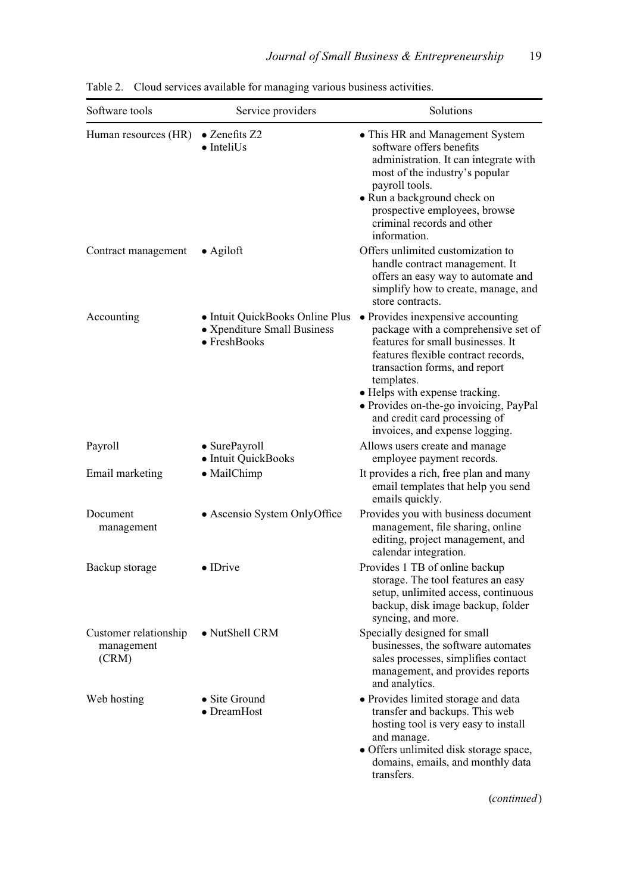| Software tools                               | Service providers                                                                      | Solutions                                                                                                                                                                                                                                                                                                                                           |
|----------------------------------------------|----------------------------------------------------------------------------------------|-----------------------------------------------------------------------------------------------------------------------------------------------------------------------------------------------------------------------------------------------------------------------------------------------------------------------------------------------------|
| Human resources (HR)                         | $\bullet$ Zenefits Z2<br>$\bullet$ InteliUs                                            | • This HR and Management System<br>software offers benefits<br>administration. It can integrate with<br>most of the industry's popular<br>payroll tools.<br>· Run a background check on<br>prospective employees, browse<br>criminal records and other<br>information.                                                                              |
| Contract management                          | $\bullet$ Agiloft                                                                      | Offers unlimited customization to<br>handle contract management. It<br>offers an easy way to automate and<br>simplify how to create, manage, and<br>store contracts.                                                                                                                                                                                |
| Accounting                                   | • Intuit QuickBooks Online Plus<br>• Xpenditure Small Business<br>$\bullet$ FreshBooks | • Provides in expensive accounting<br>package with a comprehensive set of<br>features for small businesses. It<br>features flexible contract records,<br>transaction forms, and report<br>templates.<br>· Helps with expense tracking.<br>· Provides on-the-go invoicing, PayPal<br>and credit card processing of<br>invoices, and expense logging. |
| Payroll                                      | • SurePayroll<br>· Intuit QuickBooks                                                   | Allows users create and manage<br>employee payment records.                                                                                                                                                                                                                                                                                         |
| Email marketing                              | • MailChimp                                                                            | It provides a rich, free plan and many<br>email templates that help you send<br>emails quickly.                                                                                                                                                                                                                                                     |
| Document<br>management                       | • Ascensio System OnlyOffice                                                           | Provides you with business document<br>management, file sharing, online<br>editing, project management, and<br>calendar integration.                                                                                                                                                                                                                |
| Backup storage                               | $\bullet$ IDrive                                                                       | Provides 1 TB of online backup<br>storage. The tool features an easy<br>setup, unlimited access, continuous<br>backup, disk image backup, folder<br>syncing, and more.                                                                                                                                                                              |
| Customer relationship<br>management<br>(CRM) | • NutShell CRM                                                                         | Specially designed for small<br>businesses, the software automates<br>sales processes, simplifies contact<br>management, and provides reports<br>and analytics.                                                                                                                                                                                     |
| Web hosting                                  | • Site Ground<br>• DreamHost                                                           | · Provides limited storage and data<br>transfer and backups. This web<br>hosting tool is very easy to install<br>and manage.<br>· Offers unlimited disk storage space,<br>domains, emails, and monthly data<br>transfers.<br>(continued)                                                                                                            |

<span id="page-19-0"></span>Table 2. Cloud services available for managing various business activities.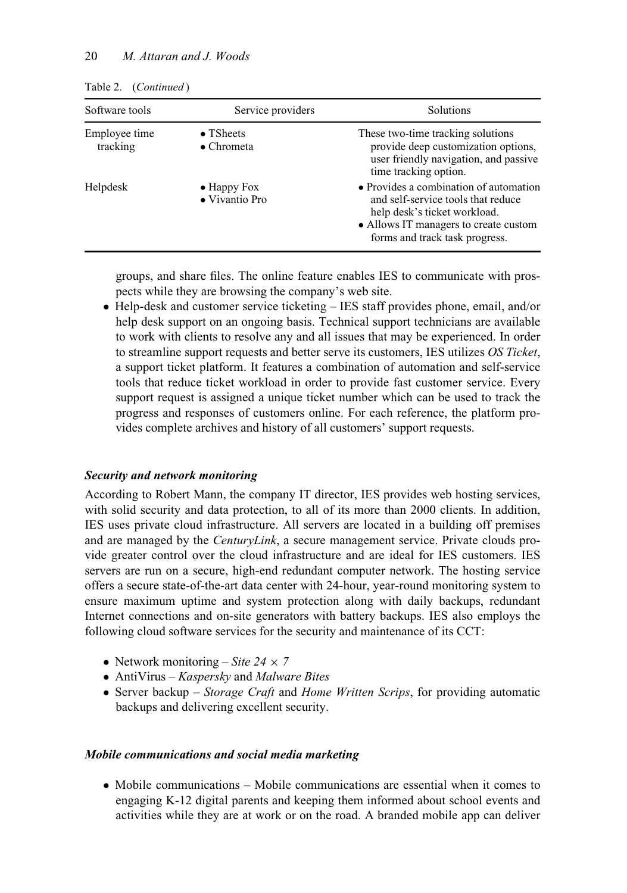| Software tools            | Service providers                       | Solutions                                                                                                                                                                               |
|---------------------------|-----------------------------------------|-----------------------------------------------------------------------------------------------------------------------------------------------------------------------------------------|
| Employee time<br>tracking | $\bullet$ TSheets<br>$\bullet$ Chrometa | These two-time tracking solutions<br>provide deep customization options,<br>user friendly navigation, and passive<br>time tracking option.                                              |
| Helpdesk                  | $\bullet$ Happy Fox<br>• Vivantio Pro   | • Provides a combination of automation<br>and self-service tools that reduce<br>help desk's ticket workload.<br>• Allows IT managers to create custom<br>forms and track task progress. |

Table 2. (Continued )

groups, and share files. The online feature enables IES to communicate with prospects while they are browsing the company's web site.

 Help-desk and customer service ticketing – IES staff provides phone, email, and/or help desk support on an ongoing basis. Technical support technicians are available to work with clients to resolve any and all issues that may be experienced. In order to streamline support requests and better serve its customers, IES utilizes OS Ticket, a support ticket platform. It features a combination of automation and self-service tools that reduce ticket workload in order to provide fast customer service. Every support request is assigned a unique ticket number which can be used to track the progress and responses of customers online. For each reference, the platform provides complete archives and history of all customers' support requests.

#### Security and network monitoring

According to Robert Mann, the company IT director, IES provides web hosting services, with solid security and data protection, to all of its more than 2000 clients. In addition, IES uses private cloud infrastructure. All servers are located in a building off premises and are managed by the CenturyLink, a secure management service. Private clouds provide greater control over the cloud infrastructure and are ideal for IES customers. IES servers are run on a secure, high-end redundant computer network. The hosting service offers a secure state-of-the-art data center with 24-hour, year-round monitoring system to ensure maximum uptime and system protection along with daily backups, redundant Internet connections and on-site generators with battery backups. IES also employs the following cloud software services for the security and maintenance of its CCT:

- Network monitoring Site 24  $\times$  7
- AntiVirus  $K$ aspersky and Malware Bites
- Server backup Storage Craft and Home Written Scrips, for providing automatic backups and delivering excellent security.

#### Mobile communications and social media marketing

• Mobile communications – Mobile communications are essential when it comes to engaging K-12 digital parents and keeping them informed about school events and activities while they are at work or on the road. A branded mobile app can deliver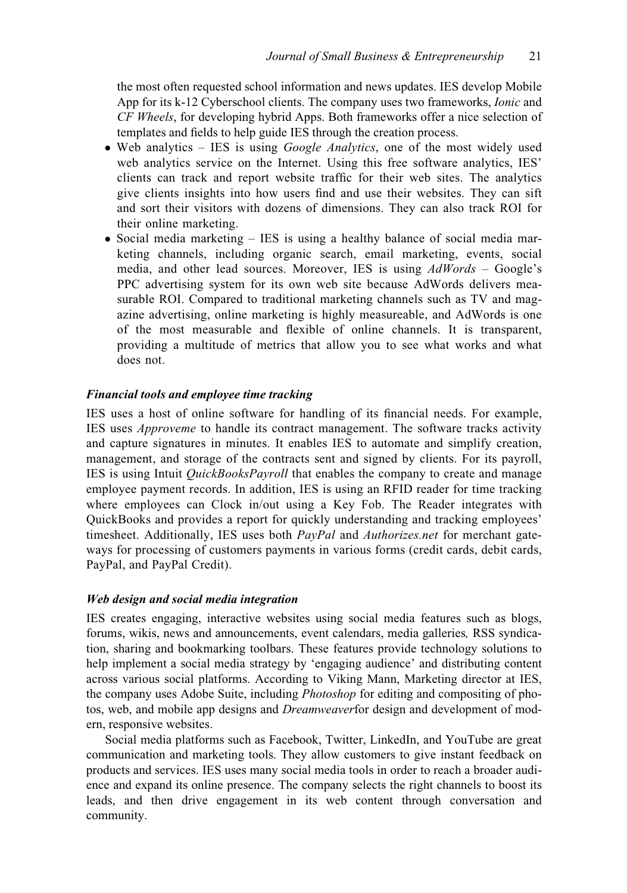the most often requested school information and news updates. IES develop Mobile App for its k-12 Cyberschool clients. The company uses two frameworks, *Ionic* and CF Wheels, for developing hybrid Apps. Both frameworks offer a nice selection of templates and fields to help guide IES through the creation process.

- $\bullet$  Web analytics IES is using *Google Analytics*, one of the most widely used web analytics service on the Internet. Using this free software analytics, IES' clients can track and report website traffic for their web sites. The analytics give clients insights into how users find and use their websites. They can sift and sort their visitors with dozens of dimensions. They can also track ROI for their online marketing.
- Social media marketing IES is using a healthy balance of social media marketing channels, including organic search, email marketing, events, social media, and other lead sources. Moreover, IES is using  $AdWords - Google's$ PPC advertising system for its own web site because AdWords delivers measurable ROI. Compared to traditional marketing channels such as TV and magazine advertising, online marketing is highly measureable, and AdWords is one of the most measurable and flexible of online channels. It is transparent, providing a multitude of metrics that allow you to see what works and what does not.

# Financial tools and employee time tracking

IES uses a host of online software for handling of its financial needs. For example, IES uses Approveme to handle its contract management. The software tracks activity and capture signatures in minutes. It enables IES to automate and simplify creation, management, and storage of the contracts sent and signed by clients. For its payroll, IES is using Intuit QuickBooksPayroll that enables the company to create and manage employee payment records. In addition, IES is using an RFID reader for time tracking where employees can Clock in/out using a Key Fob. The Reader integrates with QuickBooks and provides a report for quickly understanding and tracking employees' timesheet. Additionally, IES uses both  $PayPal$  and  $Authorizes.net$  for merchant gateways for processing of customers payments in various forms (credit cards, debit cards, PayPal, and PayPal Credit).

# Web design and social media integration

IES creates engaging, interactive websites using social media features such as blogs, forums, wikis, news and announcements, event calendars, media galleries, RSS syndication, sharing and bookmarking toolbars. These features provide technology solutions to help implement a social media strategy by 'engaging audience' and distributing content across various social platforms. According to Viking Mann, Marketing director at IES, the company uses Adobe Suite, including *Photoshop* for editing and compositing of photos, web, and mobile app designs and *Dreamweaver* for design and development of modern, responsive websites.

Social media platforms such as Facebook, Twitter, LinkedIn, and YouTube are great communication and marketing tools. They allow customers to give instant feedback on products and services. IES uses many social media tools in order to reach a broader audience and expand its online presence. The company selects the right channels to boost its leads, and then drive engagement in its web content through conversation and community.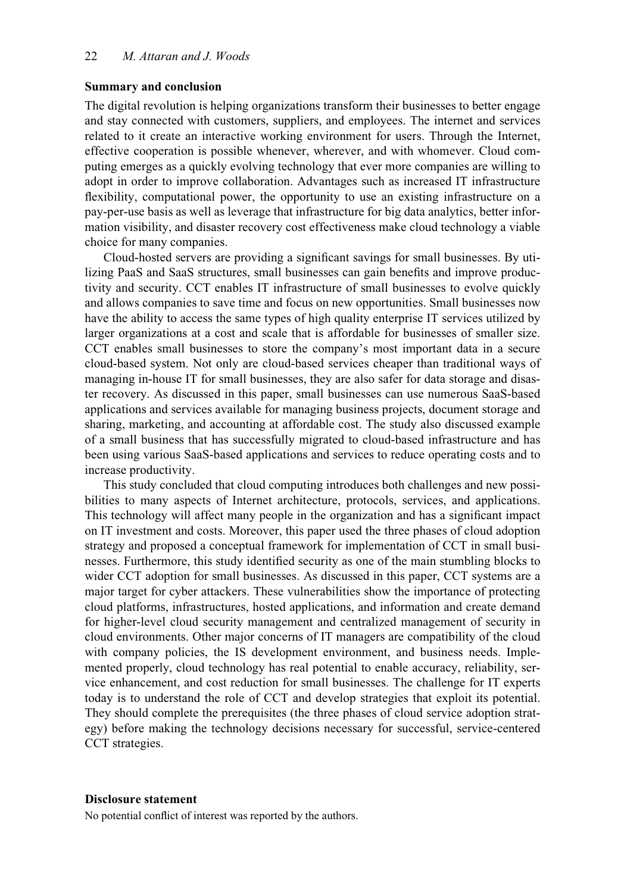#### Summary and conclusion

The digital revolution is helping organizations transform their businesses to better engage and stay connected with customers, suppliers, and employees. The internet and services related to it create an interactive working environment for users. Through the Internet, effective cooperation is possible whenever, wherever, and with whomever. Cloud computing emerges as a quickly evolving technology that ever more companies are willing to adopt in order to improve collaboration. Advantages such as increased IT infrastructure flexibility, computational power, the opportunity to use an existing infrastructure on a pay-per-use basis as well as leverage that infrastructure for big data analytics, better information visibility, and disaster recovery cost effectiveness make cloud technology a viable choice for many companies.

Cloud-hosted servers are providing a significant savings for small businesses. By utilizing PaaS and SaaS structures, small businesses can gain benefits and improve productivity and security. CCT enables IT infrastructure of small businesses to evolve quickly and allows companies to save time and focus on new opportunities. Small businesses now have the ability to access the same types of high quality enterprise IT services utilized by larger organizations at a cost and scale that is affordable for businesses of smaller size. CCT enables small businesses to store the company's most important data in a secure cloud-based system. Not only are cloud-based services cheaper than traditional ways of managing in-house IT for small businesses, they are also safer for data storage and disaster recovery. As discussed in this paper, small businesses can use numerous SaaS-based applications and services available for managing business projects, document storage and sharing, marketing, and accounting at affordable cost. The study also discussed example of a small business that has successfully migrated to cloud-based infrastructure and has been using various SaaS-based applications and services to reduce operating costs and to increase productivity.

This study concluded that cloud computing introduces both challenges and new possibilities to many aspects of Internet architecture, protocols, services, and applications. This technology will affect many people in the organization and has a significant impact on IT investment and costs. Moreover, this paper used the three phases of cloud adoption strategy and proposed a conceptual framework for implementation of CCT in small businesses. Furthermore, this study identified security as one of the main stumbling blocks to wider CCT adoption for small businesses. As discussed in this paper, CCT systems are a major target for cyber attackers. These vulnerabilities show the importance of protecting cloud platforms, infrastructures, hosted applications, and information and create demand for higher-level cloud security management and centralized management of security in cloud environments. Other major concerns of IT managers are compatibility of the cloud with company policies, the IS development environment, and business needs. Implemented properly, cloud technology has real potential to enable accuracy, reliability, service enhancement, and cost reduction for small businesses. The challenge for IT experts today is to understand the role of CCT and develop strategies that exploit its potential. They should complete the prerequisites (the three phases of cloud service adoption strategy) before making the technology decisions necessary for successful, service-centered CCT strategies.

#### Disclosure statement

No potential conflict of interest was reported by the authors.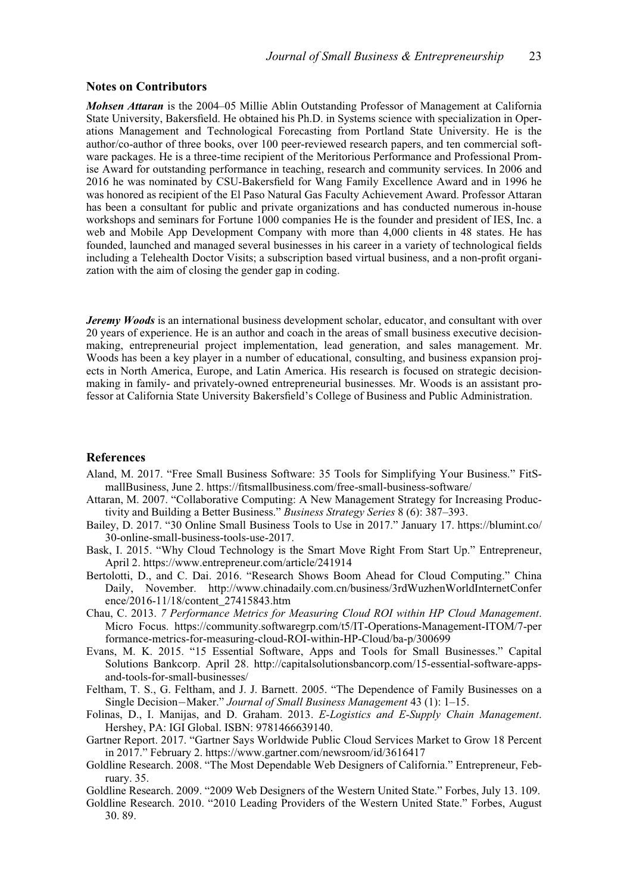#### Notes on Contributors

Mohsen Attaran is the 2004–05 Millie Ablin Outstanding Professor of Management at California State University, Bakersfield. He obtained his Ph.D. in Systems science with specialization in Operations Management and Technological Forecasting from Portland State University. He is the author/co-author of three books, over 100 peer-reviewed research papers, and ten commercial software packages. He is a three-time recipient of the Meritorious Performance and Professional Promise Award for outstanding performance in teaching, research and community services. In 2006 and 2016 he was nominated by CSU-Bakersfield for Wang Family Excellence Award and in 1996 he was honored as recipient of the El Paso Natural Gas Faculty Achievement Award. Professor Attaran has been a consultant for public and private organizations and has conducted numerous in-house workshops and seminars for Fortune 1000 companies He is the founder and president of IES, Inc. a web and Mobile App Development Company with more than 4,000 clients in 48 states. He has founded, launched and managed several businesses in his career in a variety of technological fields including a Telehealth Doctor Visits; a subscription based virtual business, and a non-profit organization with the aim of closing the gender gap in coding.

Jeremy Woods is an international business development scholar, educator, and consultant with over 20 years of experience. He is an author and coach in the areas of small business executive decisionmaking, entrepreneurial project implementation, lead generation, and sales management. Mr. Woods has been a key player in a number of educational, consulting, and business expansion projects in North America, Europe, and Latin America. His research is focused on strategic decisionmaking in family- and privately-owned entrepreneurial businesses. Mr. Woods is an assistant professor at California State University Bakersfield's College of Business and Public Administration.

#### References

- <span id="page-23-7"></span>Aland, M. 2017. "Free Small Business Software: 35 Tools for Simplifying Your Business." FitSmallBusiness, June 2.<https://fitsmallbusiness.com/free-small-business-software/>
- <span id="page-23-0"></span>Attaran, M. 2007. "Collaborative Computing: A New Management Strategy for Increasing Productivity and Building a Better Business." Business Strategy Series 8 (6): 387-393.
- <span id="page-23-8"></span>Bailey, D. 2017. "30 Online Small Business Tools to Use in 2017." January 17. [https://blumint.co/](https://blumint.co/30-online-small-business-tools-use-2017) [30-online-small-business-tools-use-2017](https://blumint.co/30-online-small-business-tools-use-2017).
- <span id="page-23-3"></span>Bask, I. 2015. "Why Cloud Technology is the Smart Move Right From Start Up." Entrepreneur, April 2.<https://www.entrepreneur.com/article/241914>
- <span id="page-23-2"></span>Bertolotti, D., and C. Dai. 2016. "Research Shows Boom Ahead for Cloud Computing." China Daily, November. [http://www.chinadaily.com.cn/business/3rdWuzhenWorldInternetConfer](http://www.chinadaily.com.cn/business/3rdWuzhenWorldInternetConference/2016-11/18/content_27415843.htm) [ence/2016-11/18/content\\_27415843.htm](http://www.chinadaily.com.cn/business/3rdWuzhenWorldInternetConference/2016-11/18/content_27415843.htm)
- <span id="page-23-6"></span>Chau, C. 2013. 7 Performance Metrics for Measuring Cloud ROI within HP Cloud Management. Micro Focus. [https://community.softwaregrp.com/t5/IT-Operations-Management-ITOM/7-per](https://community.softwaregrp.com/t5/IT-Operations-Management-ITOM/7-performance-metrics-for-measuring-cloud-ROI-within-HP-Cloud/ba-p/300699) [formance-metrics-for-measuring-cloud-ROI-within-HP-Cloud/ba-p/300699](https://community.softwaregrp.com/t5/IT-Operations-Management-ITOM/7-performance-metrics-for-measuring-cloud-ROI-within-HP-Cloud/ba-p/300699)
- <span id="page-23-9"></span>Evans, M. K. 2015. "15 Essential Software, Apps and Tools for Small Businesses." Capital Solutions Bankcorp. April 28. [http://capitalsolutionsbancorp.com/15-essential-software-apps](http://capitalsolutionsbancorp.com/15-essential-software-apps-and-tools-for-small-businesses/)[and-tools-for-small-businesses/](http://capitalsolutionsbancorp.com/15-essential-software-apps-and-tools-for-small-businesses/)
- <span id="page-23-5"></span>Feltham, T. S., G. Feltham, and J. J. Barnett. 2005. "The Dependence of Family Businesses on a Single Decision-Maker." Journal of Small Business Management 43 (1): 1-15.
- <span id="page-23-1"></span>Folinas, D., I. Manijas, and D. Graham. 2013. E-Logistics and E-Supply Chain Management. Hershey, PA: IGI Global. ISBN: 9781466639140.
- <span id="page-23-4"></span>Gartner Report. 2017. "Gartner Says Worldwide Public Cloud Services Market to Grow 18 Percent in 2017." February 2.<https://www.gartner.com/newsroom/id/3616417>
- <span id="page-23-10"></span>Goldline Research. 2008. "The Most Dependable Web Designers of California." Entrepreneur, February. 35.
- <span id="page-23-11"></span>Goldline Research. 2009. "2009 Web Designers of the Western United State." Forbes, July 13. 109.
- <span id="page-23-12"></span>Goldline Research. 2010. "2010 Leading Providers of the Western United State." Forbes, August 30. 89.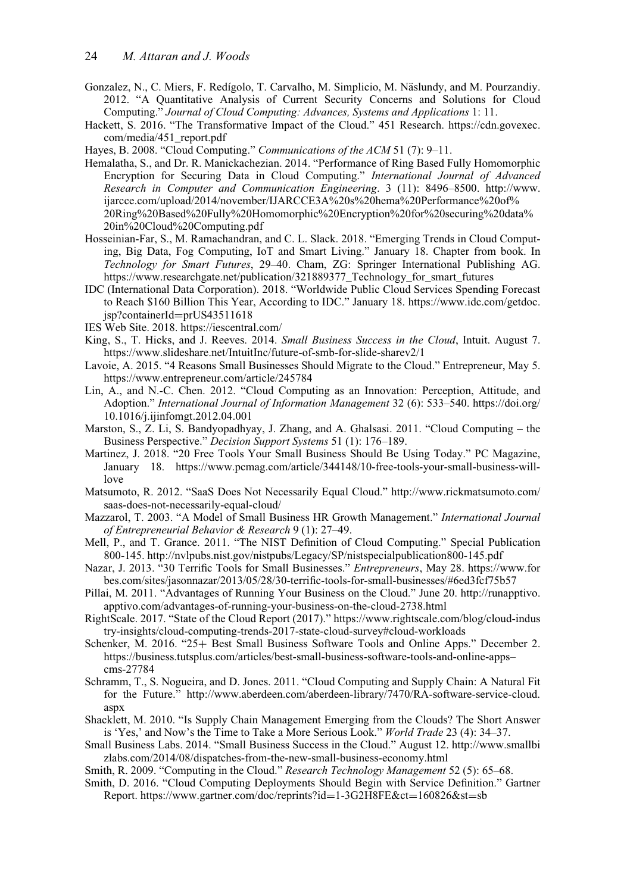- <span id="page-24-16"></span>Gonzalez, N., C. Miers, F. Redígolo, T. Carvalho, M. Simplicio, M. Näslundy, and M. Pourzandiy. 2012. "A Quantitative Analysis of Current Security Concerns and Solutions for Cloud Computing." Journal of Cloud Computing: Advances, Systems and Applications 1: 11.
- <span id="page-24-4"></span>Hackett, S. 2016. "The Transformative Impact of the Cloud." 451 Research. [https://cdn.govexec.](https://cdn.govexec.com/media/451_report.pdf) [com/media/451\\_report.pdf](https://cdn.govexec.com/media/451_report.pdf)
- <span id="page-24-17"></span><span id="page-24-12"></span>Hayes, B. 2008. "Cloud Computing." Communications of the ACM 51 (7): 9-11.
- Hemalatha, S., and Dr. R. Manickachezian. 2014. "Performance of Ring Based Fully Homomorphic Encryption for Securing Data in Cloud Computing." International Journal of Advanced Research in Computer and Communication Engineering. 3 (11): 8496–8500. [http://www.](http://www.ijarcce.com/upload/2014/november/IJARCCE3A%20s%20hema%20Performance%20of%20Ring%20Based%20Fully%20Homomorphic%20Encryption%20for%20securing%20data%20in%20Cloud%20Computing.pdf) [ijarcce.com/upload/2014/november/IJARCCE3A%20s%20hema%20Performance%20of%](http://www.ijarcce.com/upload/2014/november/IJARCCE3A%20s%20hema%20Performance%20of%20Ring%20Based%20Fully%20Homomorphic%20Encryption%20for%20securing%20data%20in%20Cloud%20Computing.pdf) [20Ring%20Based%20Fully%20Homomorphic%20Encryption%20for%20securing%20data%](http://www.ijarcce.com/upload/2014/november/IJARCCE3A%20s%20hema%20Performance%20of%20Ring%20Based%20Fully%20Homomorphic%20Encryption%20for%20securing%20data%20in%20Cloud%20Computing.pdf) [20in%20Cloud%20Computing.pdf](http://www.ijarcce.com/upload/2014/november/IJARCCE3A%20s%20hema%20Performance%20of%20Ring%20Based%20Fully%20Homomorphic%20Encryption%20for%20securing%20data%20in%20Cloud%20Computing.pdf)
- <span id="page-24-13"></span>Hosseinian-Far, S., M. Ramachandran, and C. L. Slack. 2018. "Emerging Trends in Cloud Computing, Big Data, Fog Computing, IoT and Smart Living." January 18. Chapter from book. In Technology for Smart Futures, 29–40. Cham, ZG: Springer International Publishing AG. [https://www.researchgate.net/publication/321889377\\_Technology\\_for\\_smart\\_futures](https://www.researchgate.net/publication/321889377_Technology_for_smart_futures)
- <span id="page-24-18"></span>IDC (International Data Corporation). 2018. "Worldwide Public Cloud Services Spending Forecast to Reach \$160 Billion This Year, According to IDC." January 18. [https://www.idc.com/getdoc.](https://www.idc.com/getdoc.jsp?containerId=prUS43511618) [jsp?containerId](https://www.idc.com/getdoc.jsp?containerId=prUS43511618)=[prUS43511618](https://www.idc.com/getdoc.jsp?containerId=prUS43511618)
- <span id="page-24-23"></span>IES Web Site. 2018.<https://iescentral.com/>
- <span id="page-24-5"></span>King, S., T. Hicks, and J. Reeves. 2014. Small Business Success in the Cloud, Intuit. August 7. <https://www.slideshare.net/IntuitInc/future-of-smb-for-slide-sharev2/1>
- <span id="page-24-10"></span>Lavoie, A. 2015. "4 Reasons Small Businesses Should Migrate to the Cloud." Entrepreneur, May 5. <https://www.entrepreneur.com/article/245784>
- <span id="page-24-1"></span>Lin, A., and N.-C. Chen. 2012. "Cloud Computing as an Innovation: Perception, Attitude, and Adoption." International Journal of Information Management 32 (6): 533-540. [https://doi.org/](https://doi.org/10.1016/j.ijinfomgt.2012.04.001) [10.1016/j.ijinfomgt.2012.04.001](https://doi.org/10.1016/j.ijinfomgt.2012.04.001)
- <span id="page-24-0"></span>Marston, S., Z. Li, S. Bandyopadhyay, J. Zhang, and A. Ghalsasi. 2011. "Cloud Computing – the Business Perspective." Decision Support Systems 51 (1): 176–189.
- <span id="page-24-19"></span>Martinez, J. 2018. "20 Free Tools Your Small Business Should Be Using Today." PC Magazine, January 18. [https://www.pcmag.com/article/344148/10-free-tools-your-small-business-will](https://www.pcmag.com/article/344148/10-free-tools-your-small-business-will-love)[love](https://www.pcmag.com/article/344148/10-free-tools-your-small-business-will-love)
- <span id="page-24-9"></span>Matsumoto, R. 2012. "SaaS Does Not Necessarily Equal Cloud." [http://www.rickmatsumoto.com/](http://www.rickmatsumoto.com/saas-does-not-necessarily-equal-cloud/) [saas-does-not-necessarily-equal-cloud/](http://www.rickmatsumoto.com/saas-does-not-necessarily-equal-cloud/)
- <span id="page-24-15"></span>Mazzarol, T. 2003. "A Model of Small Business HR Growth Management." International Journal of Entrepreneurial Behavior & Research 9 (1): 27–49.
- <span id="page-24-8"></span>Mell, P., and T. Grance. 2011. "The NIST Definition of Cloud Computing." Special Publication 800-145.<http://nvlpubs.nist.gov/nistpubs/Legacy/SP/nistspecialpublication800-145.pdf>
- <span id="page-24-22"></span>Nazar, J. 2013. "30 Terrific Tools for Small Businesses." Entrepreneurs, May 28. [https://www.for](https://www.forbes.com/sites/jasonnazar/2013/05/28/30-terrific-tools-for-small-businesses/#6ed3fcf75b57) [bes.com/sites/jasonnazar/2013/05/28/30-terrific-tools-for-small-businesses/#6ed3fcf75b57](https://www.forbes.com/sites/jasonnazar/2013/05/28/30-terrific-tools-for-small-businesses/#6ed3fcf75b57)
- <span id="page-24-14"></span>Pillai, M. 2011. "Advantages of Running Your Business on the Cloud." June 20. [http://runapptivo.](http://runapptivo.apptivo.com/advantages-of-running-your-business-on-the-cloud-2738.html) [apptivo.com/advantages-of-running-your-business-on-the-cloud-2738.html](http://runapptivo.apptivo.com/advantages-of-running-your-business-on-the-cloud-2738.html)
- <span id="page-24-6"></span>RightScale. 2017. "State of the Cloud Report (2017)." [https://www.rightscale.com/blog/cloud-indus](https://www.rightscale.com/blog/cloud-industry-insights/cloud-computing-trends-2017-state-cloud-survey#cloud-workloads) [try-insights/cloud-computing-trends-2017-state-cloud-survey#cloud-workloads](https://www.rightscale.com/blog/cloud-industry-insights/cloud-computing-trends-2017-state-cloud-survey#cloud-workloads)
- <span id="page-24-21"></span>Schenker, M. 2016. "25+ Best Small Business Software Tools and Online Apps." December 2. [https://business.tutsplus.com/articles/best-small-business-software-tools-and-online-apps–](https://business.tutsplus.com/articles/best-small-business-software-tools-and-online-apps--cms-27784) [cms-27784](https://business.tutsplus.com/articles/best-small-business-software-tools-and-online-apps--cms-27784)
- <span id="page-24-3"></span>Schramm, T., S. Nogueira, and D. Jones. 2011. "Cloud Computing and Supply Chain: A Natural Fit for the Future." [http://www.aberdeen.com/aberdeen-library/7470/RA-software-service-cloud.](http://www.aberdeen.com/aberdeen-library/7470/RA-software-service-cloud.aspx) [aspx](http://www.aberdeen.com/aberdeen-library/7470/RA-software-service-cloud.aspx)
- <span id="page-24-2"></span>Shacklett, M. 2010. "Is Supply Chain Management Emerging from the Clouds? The Short Answer is 'Yes,' and Now's the Time to Take a More Serious Look." World Trade 23 (4): 34–37.
- <span id="page-24-20"></span>Small Business Labs. 2014. "Small Business Success in the Cloud." August 12. [http://www.smallbi](http://www.smallbizlabs.com/2014/08/dispatches-from-the-new-small-business-economy.html) [zlabs.com/2014/08/dispatches-from-the-new-small-business-economy.html](http://www.smallbizlabs.com/2014/08/dispatches-from-the-new-small-business-economy.html)

<span id="page-24-11"></span>Smith, R. 2009. "Computing in the Cloud." Research Technology Management 52 (5): 65–68.

<span id="page-24-7"></span>Smith, D. 2016. "Cloud Computing Deployments Should Begin with Service Definition." Gartner Report. [https://www.gartner.com/doc/reprints?id](https://www.gartner.com/doc/reprints?id=1-3G2H8FE&ct=160826&st=sb)=[1-3G2H8FE&ct](https://www.gartner.com/doc/reprints?id=1-3G2H8FE&ct=160826&st=sb)=[160826&st](https://www.gartner.com/doc/reprints?id=1-3G2H8FE&ct=160826&st=sb)=[sb](https://www.gartner.com/doc/reprints?id=1-3G2H8FE&ct=160826&st=sb)